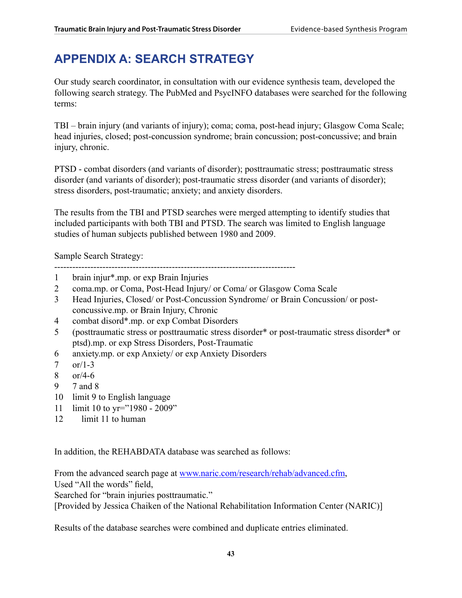# **Appendix A: SEARCH STRATEGY**

Our study search coordinator, in consultation with our evidence synthesis team, developed the following search strategy. The PubMed and PsycINFO databases were searched for the following terms:

TBI – brain injury (and variants of injury); coma; coma, post-head injury; Glasgow Coma Scale; head injuries, closed; post-concussion syndrome; brain concussion; post-concussive; and brain injury, chronic.

PTSD - combat disorders (and variants of disorder); posttraumatic stress; posttraumatic stress disorder (and variants of disorder); post-traumatic stress disorder (and variants of disorder); stress disorders, post-traumatic; anxiety; and anxiety disorders.

The results from the TBI and PTSD searches were merged attempting to identify studies that included participants with both TBI and PTSD. The search was limited to English language studies of human subjects published between 1980 and 2009.

Sample Search Strategy:

--------------------------------------------------------------------------------

- 1 brain injur\*.mp. or exp Brain Injuries
- 2 coma.mp. or Coma, Post-Head Injury/ or Coma/ or Glasgow Coma Scale
- 3 Head Injuries, Closed/ or Post-Concussion Syndrome/ or Brain Concussion/ or postconcussive.mp. or Brain Injury, Chronic
- 4 combat disord\*.mp. or exp Combat Disorders
- 5 (posttraumatic stress or posttraumatic stress disorder\* or post-traumatic stress disorder\* or ptsd).mp. or exp Stress Disorders, Post-Traumatic
- 6 anxiety.mp. or exp Anxiety/ or exp Anxiety Disorders
- 7  $\text{or}/1-3$
- 8 or/4-6
- 9 7 and 8
- 10 limit 9 to English language
- 11 limit 10 to yr="1980 2009"
- 12 limit 11 to human

In addition, the REHABDATA database was searched as follows:

From the advanced search page at www.naric.com/research/rehab/advanced.cfm, Used "All the words" field,

Searched for "brain injuries posttraumatic."

[Provided by Jessica Chaiken of the National Rehabilitation Information Center (NARIC)]

Results of the database searches were combined and duplicate entries eliminated.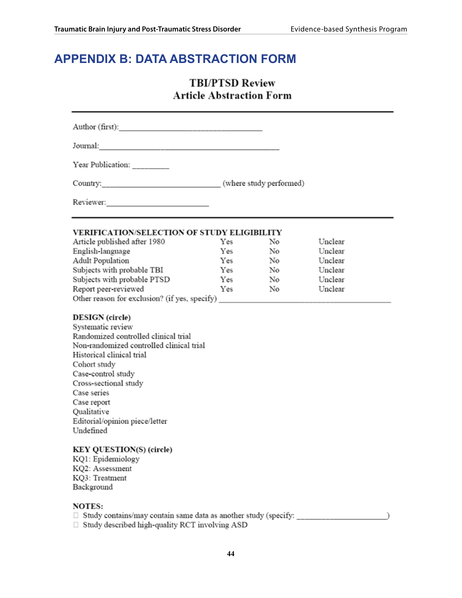# **Appendix B: DATA ABSTRACTION FORM**

# **TBI/PTSD Review Article Abstraction Form**

Author (first):

Journal: <u>Discovery and the contract of the contract of the contract of the contract of the contract of the contract of the contract of the contract of the contract of the contract of the contract of the contract of the co</u>

Year Publication:

Reviewer: New York 1988

#### VERIFICATION/SELECTION OF STUDY ELIGIBILITY

| Article published after 1980                  | Yes | No | Unclear |  |
|-----------------------------------------------|-----|----|---------|--|
| English-language                              | Yes | No | Unclear |  |
| Adult Population                              | Yes | No | Unclear |  |
| Subjects with probable TBI                    | Yes | No | Unclear |  |
| Subjects with probable PTSD                   | Yes | No | Unclear |  |
| Report peer-reviewed                          | Yes | No | Unclear |  |
| Other reason for exclusion? (if yes, specify) |     |    |         |  |

#### **DESIGN** (circle)

Systematic review Randomized controlled clinical trial Non-randomized controlled clinical trial Historical clinical trial Cohort study Case-control study Cross-sectional study Case series Case report Qualitative Editorial/opinion piece/letter Undefined

### **KEY QUESTION(S) (circle)**

KQ1: Epidemiology KQ2: Assessment KQ3: Treatment Background

#### **NOTES:**

- 
- $\Box$  Study described high-quality RCT involving ASD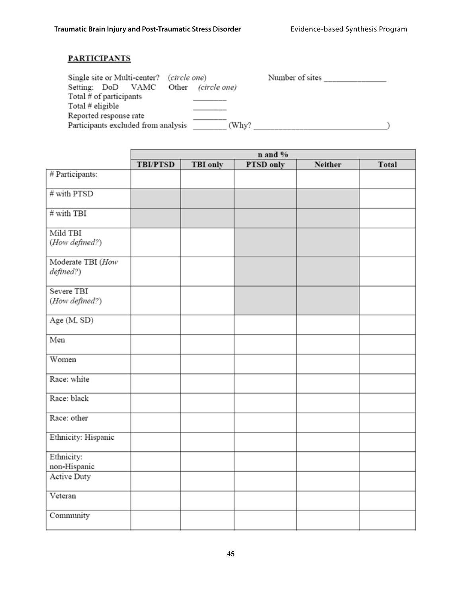## **PARTICIPANTS**

|              | Number of sites                                              |
|--------------|--------------------------------------------------------------|
| (circle one) |                                                              |
|              |                                                              |
|              |                                                              |
|              |                                                              |
| (Why?        |                                                              |
|              | (circle one)<br>Other<br>Participants excluded from analysis |

|                                |                 | n and %         |           |                |       |  |
|--------------------------------|-----------------|-----------------|-----------|----------------|-------|--|
|                                | <b>TBI/PTSD</b> | <b>TBI</b> only | PTSD only | <b>Neither</b> | Total |  |
| # Participants:                |                 |                 |           |                |       |  |
| # with PTSD                    |                 |                 |           |                |       |  |
| $#$ with TBI                   |                 |                 |           |                |       |  |
| Mild TBI<br>(How defined?)     |                 |                 |           |                |       |  |
| Moderate TBI (How<br>defined?) |                 |                 |           |                |       |  |
| Severe TBI<br>(How defined?)   |                 |                 |           |                |       |  |
| Age (M, SD)                    |                 |                 |           |                |       |  |
| Men                            |                 |                 |           |                |       |  |
| Women                          |                 |                 |           |                |       |  |
| Race: white                    |                 |                 |           |                |       |  |
| Race: black                    |                 |                 |           |                |       |  |
| Race: other                    |                 |                 |           |                |       |  |
| Ethnicity: Hispanic            |                 |                 |           |                |       |  |
| Ethnicity:<br>non-Hispanic     |                 |                 |           |                |       |  |
| Active Duty                    |                 |                 |           |                |       |  |
| Veteran                        |                 |                 |           |                |       |  |
| Community                      |                 |                 |           |                |       |  |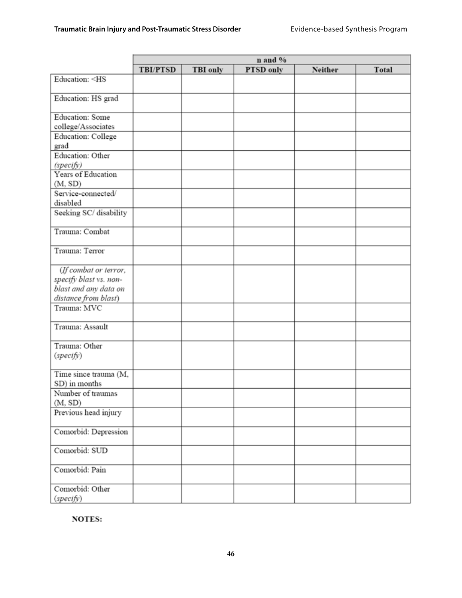|                                                                           | n and %         |          |           |         |       |
|---------------------------------------------------------------------------|-----------------|----------|-----------|---------|-------|
|                                                                           | <b>TBI/PTSD</b> | TBI only | PTSD only | Neither | Total |
| Education: <hs< td=""><td></td><td></td><td></td><td></td><td></td></hs<> |                 |          |           |         |       |
| Education: HS grad                                                        |                 |          |           |         |       |
| <b>Education:</b> Some                                                    |                 |          |           |         |       |
| college/Associates                                                        |                 |          |           |         |       |
| Education: College<br>grad                                                |                 |          |           |         |       |
| Education: Other                                                          |                 |          |           |         |       |
| (specify)                                                                 |                 |          |           |         |       |
| Years of Education                                                        |                 |          |           |         |       |
| (M, SD)                                                                   |                 |          |           |         |       |
| Service-connected/<br>disabled                                            |                 |          |           |         |       |
| Seeking SC/ disability                                                    |                 |          |           |         |       |
| Trauma: Combat                                                            |                 |          |           |         |       |
| Trauma: Terror                                                            |                 |          |           |         |       |
| (If combat or terror,                                                     |                 |          |           |         |       |
| specify blast vs. non-                                                    |                 |          |           |         |       |
| blast and any data on                                                     |                 |          |           |         |       |
| distance from blast)                                                      |                 |          |           |         |       |
| Trauma: MVC                                                               |                 |          |           |         |       |
| Trauma: Assault                                                           |                 |          |           |         |       |
| Trauma: Other                                                             |                 |          |           |         |       |
| (specify)                                                                 |                 |          |           |         |       |
| Time since trauma (M,                                                     |                 |          |           |         |       |
| SD) in months                                                             |                 |          |           |         |       |
| Number of traumas<br>(M, SD)                                              |                 |          |           |         |       |
| Previous head injury                                                      |                 |          |           |         |       |
| Comorbid: Depression                                                      |                 |          |           |         |       |
| Comorbid: SUD                                                             |                 |          |           |         |       |
| Comorbid: Pain                                                            |                 |          |           |         |       |
| Comorbid: Other<br>(specify)                                              |                 |          |           |         |       |

**NOTES:**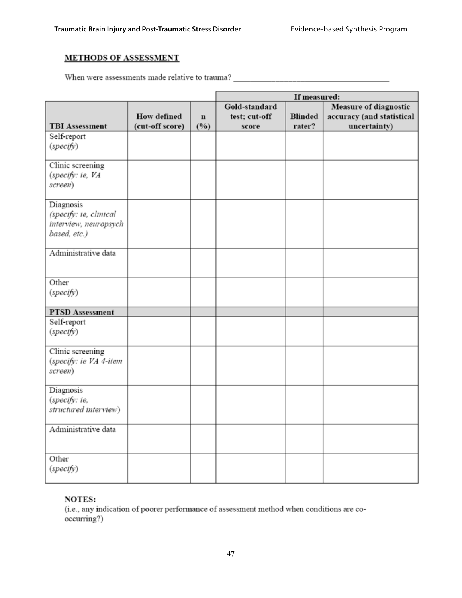## **METHODS OF ASSESSMENT**

|                                                                              |                                       |                    |                                         | If measured:             |                                                                           |
|------------------------------------------------------------------------------|---------------------------------------|--------------------|-----------------------------------------|--------------------------|---------------------------------------------------------------------------|
| <b>TBI Assessment</b>                                                        | <b>How defined</b><br>(cut-off score) | $\mathbf n$<br>(%) | Gold-standard<br>test; cut-off<br>score | <b>Blinded</b><br>rater? | <b>Measure of diagnostic</b><br>accuracy (and statistical<br>uncertainty) |
| Self-report<br>(specify)                                                     |                                       |                    |                                         |                          |                                                                           |
| Clinic screening<br>(specify: ie, VA<br>screen)                              |                                       |                    |                                         |                          |                                                                           |
| Diagnosis<br>(specify: ie, clinical<br>interview, neuropsych<br>based, etc.) |                                       |                    |                                         |                          |                                                                           |
| Administrative data                                                          |                                       |                    |                                         |                          |                                                                           |
| Other<br>(specify)                                                           |                                       |                    |                                         |                          |                                                                           |
| <b>PTSD</b> Assessment                                                       |                                       |                    |                                         |                          |                                                                           |
| Self-report<br>(specify)                                                     |                                       |                    |                                         |                          |                                                                           |
| Clinic screening<br>(specify: ie VA 4-item<br>screen)                        |                                       |                    |                                         |                          |                                                                           |
| Diagnosis<br>(specify: ie,<br>structured interview)                          |                                       |                    |                                         |                          |                                                                           |
| Administrative data                                                          |                                       |                    |                                         |                          |                                                                           |
| Other<br>(specify)                                                           |                                       |                    |                                         |                          |                                                                           |

### **NOTES:**

(i.e., any indication of poorer performance of assessment method when conditions are cooccurring?)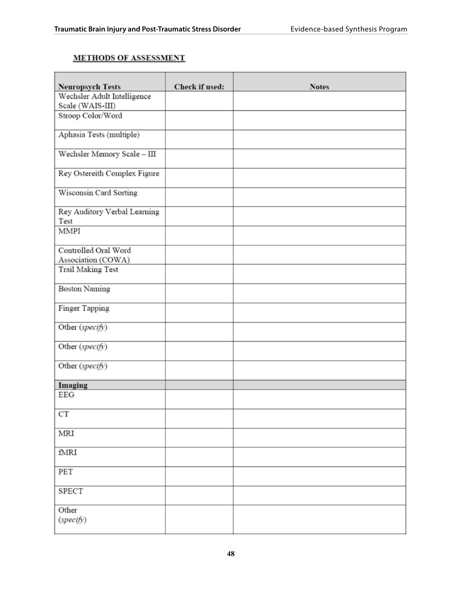## **METHODS OF ASSESSMENT**

| <b>Neuropsych Tests</b>              | Check if used: | <b>Notes</b> |
|--------------------------------------|----------------|--------------|
| Wechsler Adult Intelligence          |                |              |
| Scale (WAIS-III)                     |                |              |
| Stroop Color/Word                    |                |              |
| Aphasia Tests (multiple)             |                |              |
| Wechsler Memory Scale - III          |                |              |
| Rey Ostereith Complex Figure         |                |              |
| Wisconsin Card Sorting               |                |              |
| Rey Auditory Verbal Learning<br>Test |                |              |
| <b>MMPI</b>                          |                |              |
|                                      |                |              |
| Controlled Oral Word                 |                |              |
| Association (COWA)                   |                |              |
| Trail Making Test                    |                |              |
| <b>Boston Naming</b>                 |                |              |
| Finger Tapping                       |                |              |
| Other (specify)                      |                |              |
| Other (specify)                      |                |              |
| Other (specify)                      |                |              |
| Imaging                              |                |              |
| EEG                                  |                |              |
| $_{\rm CT}$                          |                |              |
| MRI                                  |                |              |
| fMRI                                 |                |              |
|                                      |                |              |
| PET                                  |                |              |
| SPECT                                |                |              |
| Other                                |                |              |
| (specify)                            |                |              |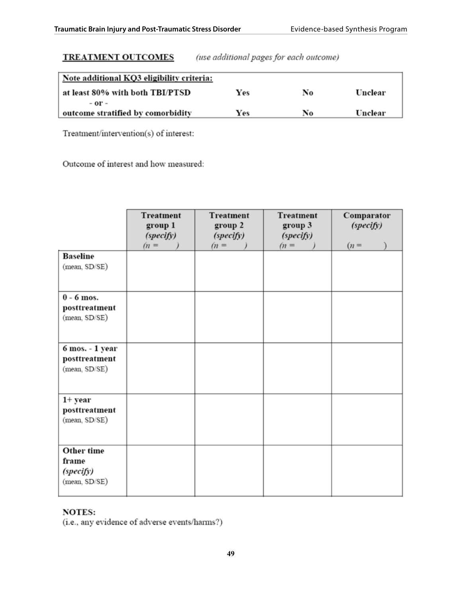## **TREATMENT OUTCOMES**

(use additional pages for each outcome)

| Note additional KQ3 eligibility criteria: |     |    |         |
|-------------------------------------------|-----|----|---------|
| at least 80% with both TBI/PTSD           | Yes | No | Unclear |
| - or -                                    |     |    |         |
| outcome stratified by comorbidity         | Yes | No | Unclear |

Treatment/intervention(s) of interest:

Outcome of interest and how measured:

|                                                   | <b>Treatment</b><br>group 1<br>(specify)<br>$(n =$ | <b>Treatment</b><br>group 2<br>(specify)<br>$(n =$ | <b>Treatment</b><br>group 3<br>(specify)<br>$(n =$ | Comparator<br>(specify)<br>$(n =$ |
|---------------------------------------------------|----------------------------------------------------|----------------------------------------------------|----------------------------------------------------|-----------------------------------|
| <b>Baseline</b><br>(mean, SD/SE)                  |                                                    |                                                    |                                                    |                                   |
| $0 - 6$ mos.<br>posttreatment<br>(mean, SD/SE)    |                                                    |                                                    |                                                    |                                   |
| 6 mos. - 1 year<br>posttreatment<br>(mean, SD/SE) |                                                    |                                                    |                                                    |                                   |
| 1+ year<br>posttreatment<br>(mean, SD/SE)         |                                                    |                                                    |                                                    |                                   |
| Other time<br>frame<br>(specify)<br>(mean, SD/SE) |                                                    |                                                    |                                                    |                                   |

## **NOTES:**

(i.e., any evidence of adverse events/harms?)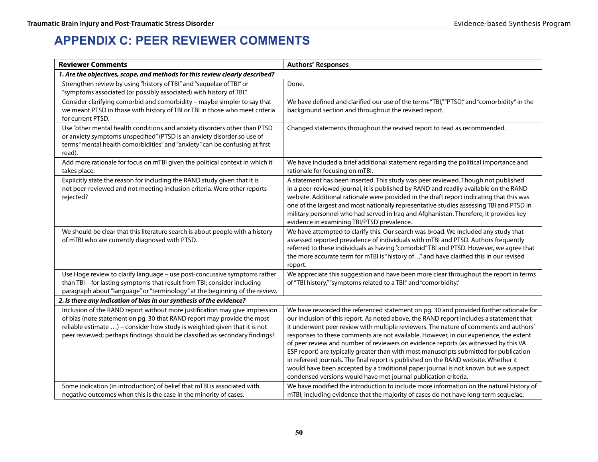# **Appendix C: PEER REVIEWER COMMENTS**

| <b>Reviewer Comments</b>                                                                                                                                                                                                                                                                                           | <b>Authors' Responses</b>                                                                                                                                                                                                                                                                                                                                                                                                                                                                                                                                                                                                                                                                                                                                                                             |
|--------------------------------------------------------------------------------------------------------------------------------------------------------------------------------------------------------------------------------------------------------------------------------------------------------------------|-------------------------------------------------------------------------------------------------------------------------------------------------------------------------------------------------------------------------------------------------------------------------------------------------------------------------------------------------------------------------------------------------------------------------------------------------------------------------------------------------------------------------------------------------------------------------------------------------------------------------------------------------------------------------------------------------------------------------------------------------------------------------------------------------------|
| 1. Are the objectives, scope, and methods for this review clearly described?                                                                                                                                                                                                                                       |                                                                                                                                                                                                                                                                                                                                                                                                                                                                                                                                                                                                                                                                                                                                                                                                       |
| Strengthen review by using "history of TBI" and "sequelae of TBI" or<br>"symptoms associated (or possibly associated) with history of TBI."                                                                                                                                                                        | Done.                                                                                                                                                                                                                                                                                                                                                                                                                                                                                                                                                                                                                                                                                                                                                                                                 |
| Consider clarifying comorbid and comorbidity - maybe simpler to say that<br>we meant PTSD in those with history of TBI or TBI in those who meet criteria<br>for current PTSD.                                                                                                                                      | We have defined and clarified our use of the terms "TBI," "PTSD," and "comorbidity" in the<br>background section and throughout the revised report.                                                                                                                                                                                                                                                                                                                                                                                                                                                                                                                                                                                                                                                   |
| Use "other mental health conditions and anxiety disorders other than PTSD<br>or anxiety symptoms unspecified" (PTSD is an anxiety disorder so use of<br>terms "mental health comorbidities" and "anxiety" can be confusing at first<br>read).                                                                      | Changed statements throughout the revised report to read as recommended.                                                                                                                                                                                                                                                                                                                                                                                                                                                                                                                                                                                                                                                                                                                              |
| Add more rationale for focus on mTBI given the political context in which it<br>takes place.                                                                                                                                                                                                                       | We have included a brief additional statement regarding the political importance and<br>rationale for focusing on mTBI.                                                                                                                                                                                                                                                                                                                                                                                                                                                                                                                                                                                                                                                                               |
| Explicitly state the reason for including the RAND study given that it is<br>not peer-reviewed and not meeting inclusion criteria. Were other reports<br>rejected?                                                                                                                                                 | A statement has been inserted. This study was peer reviewed. Though not published<br>in a peer-reviewed journal, it is published by RAND and readily available on the RAND<br>website. Additional rationale were provided in the draft report indicating that this was<br>one of the largest and most nationally representative studies assessing TBI and PTSD in<br>military personnel who had served in Iraq and Afghanistan. Therefore, it provides key<br>evidence in examining TBI/PTSD prevalence.                                                                                                                                                                                                                                                                                              |
| We should be clear that this literature search is about people with a history<br>of mTBI who are currently diagnosed with PTSD.                                                                                                                                                                                    | We have attempted to clarify this. Our search was broad. We included any study that<br>assessed reported prevalence of individuals with mTBI and PTSD. Authors frequently<br>referred to these individuals as having "comorbid" TBI and PTSD. However, we agree that<br>the more accurate term for mTBI is "history of" and have clarified this in our revised<br>report.                                                                                                                                                                                                                                                                                                                                                                                                                             |
| Use Hoge review to clarify language - use post-concussive symptoms rather<br>than TBI - for lasting symptoms that result from TBI; consider including<br>paragraph about "language" or "terminology" at the beginning of the review.                                                                               | We appreciate this suggestion and have been more clear throughout the report in terms<br>of "TBI history," "symptoms related to a TBI," and "comorbidity."                                                                                                                                                                                                                                                                                                                                                                                                                                                                                                                                                                                                                                            |
| 2. Is there any indication of bias in our synthesis of the evidence?                                                                                                                                                                                                                                               |                                                                                                                                                                                                                                                                                                                                                                                                                                                                                                                                                                                                                                                                                                                                                                                                       |
| Inclusion of the RAND report without more justification may give impression<br>of bias (note statement on pg. 30 that RAND report may provide the most<br>reliable estimate ) - consider how study is weighted given that it is not<br>peer reviewed; perhaps findings should be classified as secondary findings? | We have reworded the referenced statement on pg. 30 and provided further rationale for<br>our inclusion of this report. As noted above, the RAND report includes a statement that<br>it underwent peer review with multiple reviewers. The nature of comments and authors'<br>responses to these comments are not available. However, in our experience, the extent<br>of peer review and number of reviewers on evidence reports (as witnessed by this VA<br>ESP report) are typically greater than with most manuscripts submitted for publication<br>in refereed journals. The final report is published on the RAND website. Whether it<br>would have been accepted by a traditional paper journal is not known but we suspect<br>condensed versions would have met journal publication criteria. |
| Some indication (in introduction) of belief that mTBI is associated with<br>negative outcomes when this is the case in the minority of cases.                                                                                                                                                                      | We have modified the introduction to include more information on the natural history of<br>mTBI, including evidence that the majority of cases do not have long-term sequelae.                                                                                                                                                                                                                                                                                                                                                                                                                                                                                                                                                                                                                        |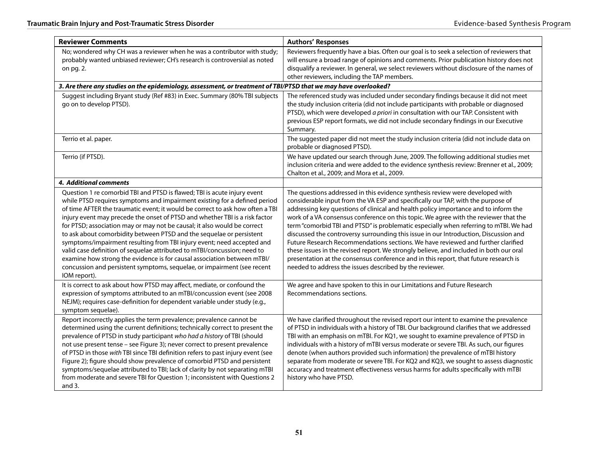| <b>Reviewer Comments</b>                                                                                                                                                                                                                                                                                                                                                                                                                                                                                                                                                                                                                                                                                                                                                                              | <b>Authors' Responses</b>                                                                                                                                                                                                                                                                                                                                                                                                                                                                                                                                                                                                                                                                                                                                                                                                                                          |  |
|-------------------------------------------------------------------------------------------------------------------------------------------------------------------------------------------------------------------------------------------------------------------------------------------------------------------------------------------------------------------------------------------------------------------------------------------------------------------------------------------------------------------------------------------------------------------------------------------------------------------------------------------------------------------------------------------------------------------------------------------------------------------------------------------------------|--------------------------------------------------------------------------------------------------------------------------------------------------------------------------------------------------------------------------------------------------------------------------------------------------------------------------------------------------------------------------------------------------------------------------------------------------------------------------------------------------------------------------------------------------------------------------------------------------------------------------------------------------------------------------------------------------------------------------------------------------------------------------------------------------------------------------------------------------------------------|--|
| No; wondered why CH was a reviewer when he was a contributor with study;<br>probably wanted unbiased reviewer; CH's research is controversial as noted<br>on pg. 2.                                                                                                                                                                                                                                                                                                                                                                                                                                                                                                                                                                                                                                   | Reviewers frequently have a bias. Often our goal is to seek a selection of reviewers that<br>will ensure a broad range of opinions and comments. Prior publication history does not<br>disqualify a reviewer. In general, we select reviewers without disclosure of the names of<br>other reviewers, including the TAP members.                                                                                                                                                                                                                                                                                                                                                                                                                                                                                                                                    |  |
| 3. Are there any studies on the epidemiology, assessment, or treatment of TBI/PTSD that we may have overlooked?                                                                                                                                                                                                                                                                                                                                                                                                                                                                                                                                                                                                                                                                                       |                                                                                                                                                                                                                                                                                                                                                                                                                                                                                                                                                                                                                                                                                                                                                                                                                                                                    |  |
| Suggest including Bryant study (Ref #83) in Exec. Summary (80% TBI subjects<br>go on to develop PTSD).                                                                                                                                                                                                                                                                                                                                                                                                                                                                                                                                                                                                                                                                                                | The referenced study was included under secondary findings because it did not meet<br>the study inclusion criteria (did not include participants with probable or diagnosed<br>PTSD), which were developed a priori in consultation with our TAP. Consistent with<br>previous ESP report formats, we did not include secondary findings in our Executive<br>Summary.                                                                                                                                                                                                                                                                                                                                                                                                                                                                                               |  |
| Terrio et al. paper.                                                                                                                                                                                                                                                                                                                                                                                                                                                                                                                                                                                                                                                                                                                                                                                  | The suggested paper did not meet the study inclusion criteria (did not include data on<br>probable or diagnosed PTSD).                                                                                                                                                                                                                                                                                                                                                                                                                                                                                                                                                                                                                                                                                                                                             |  |
| Terrio (if PTSD).                                                                                                                                                                                                                                                                                                                                                                                                                                                                                                                                                                                                                                                                                                                                                                                     | We have updated our search through June, 2009. The following additional studies met<br>inclusion criteria and were added to the evidence synthesis review: Brenner et al., 2009;<br>Chalton et al., 2009; and Mora et al., 2009.                                                                                                                                                                                                                                                                                                                                                                                                                                                                                                                                                                                                                                   |  |
| 4. Additional comments                                                                                                                                                                                                                                                                                                                                                                                                                                                                                                                                                                                                                                                                                                                                                                                |                                                                                                                                                                                                                                                                                                                                                                                                                                                                                                                                                                                                                                                                                                                                                                                                                                                                    |  |
| Question 1 re comorbid TBI and PTSD is flawed; TBI is acute injury event<br>while PTSD requires symptoms and impairment existing for a defined period<br>of time AFTER the traumatic event; it would be correct to ask how often a TBI<br>injury event may precede the onset of PTSD and whether TBI is a risk factor<br>for PTSD; association may or may not be causal; it also would be correct<br>to ask about comorbidity between PTSD and the sequelae or persistent<br>symptoms/impairment resulting from TBI injury event; need accepted and<br>valid case definition of sequelae attributed to mTBI/concussion; need to<br>examine how strong the evidence is for causal association between mTBI/<br>concussion and persistent symptoms, sequelae, or impairment (see recent<br>IOM report). | The questions addressed in this evidence synthesis review were developed with<br>considerable input from the VA ESP and specifically our TAP, with the purpose of<br>addressing key questions of clinical and health policy importance and to inform the<br>work of a VA consensus conference on this topic. We agree with the reviewer that the<br>term "comorbid TBI and PTSD" is problematic especially when referring to mTBI. We had<br>discussed the controversy surrounding this issue in our Introduction, Discussion and<br>Future Research Recommendations sections. We have reviewed and further clarified<br>these issues in the revised report. We strongly believe, and included in both our oral<br>presentation at the consensus conference and in this report, that future research is<br>needed to address the issues described by the reviewer. |  |
| It is correct to ask about how PTSD may affect, mediate, or confound the<br>expression of symptoms attributed to an mTBI/concussion event (see 2008<br>NEJM); requires case-definition for dependent variable under study (e.g.,<br>symptom sequelae).                                                                                                                                                                                                                                                                                                                                                                                                                                                                                                                                                | We agree and have spoken to this in our Limitations and Future Research<br>Recommendations sections.                                                                                                                                                                                                                                                                                                                                                                                                                                                                                                                                                                                                                                                                                                                                                               |  |
| Report incorrectly applies the term prevalence; prevalence cannot be<br>determined using the current definitions; technically correct to present the<br>prevalence of PTSD in study participant who had a history of TBI (should<br>not use present tense - see Figure 3); never correct to present prevalence<br>of PTSD in those with TBI since TBI definition refers to past injury event (see<br>Figure 2); figure should show prevalence of comorbid PTSD and persistent<br>symptoms/sequelae attributed to TBI; lack of clarity by not separating mTBI<br>from moderate and severe TBI for Question 1; inconsistent with Questions 2<br>and $3.$                                                                                                                                                | We have clarified throughout the revised report our intent to examine the prevalence<br>of PTSD in individuals with a history of TBI. Our background clarifies that we addressed<br>TBI with an emphasis on mTBI. For KQ1, we sought to examine prevalence of PTSD in<br>individuals with a history of mTBI versus moderate or severe TBI. As such, our figures<br>denote (when authors provided such information) the prevalence of mTBI history<br>separate from moderate or severe TBI. For KQ2 and KQ3, we sought to assess diagnostic<br>accuracy and treatment effectiveness versus harms for adults specifically with mTBI<br>history who have PTSD.                                                                                                                                                                                                        |  |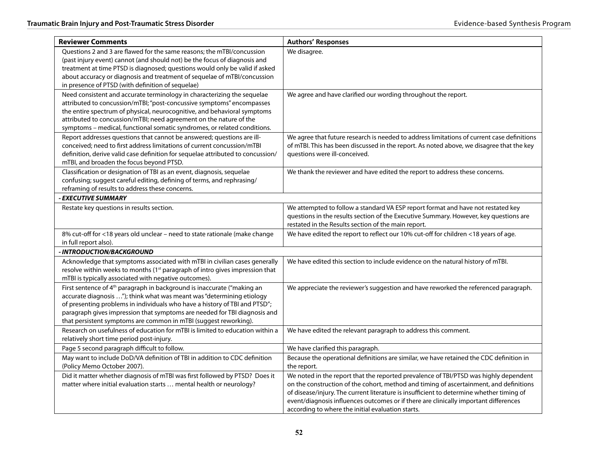| <b>Reviewer Comments</b>                                                                                                                                                                                                                                                                                                                                                                    | <b>Authors' Responses</b>                                                                                                                                                                                                                                                                                                                                                                                               |
|---------------------------------------------------------------------------------------------------------------------------------------------------------------------------------------------------------------------------------------------------------------------------------------------------------------------------------------------------------------------------------------------|-------------------------------------------------------------------------------------------------------------------------------------------------------------------------------------------------------------------------------------------------------------------------------------------------------------------------------------------------------------------------------------------------------------------------|
| Questions 2 and 3 are flawed for the same reasons; the mTBI/concussion<br>(past injury event) cannot (and should not) be the focus of diagnosis and<br>treatment at time PTSD is diagnosed; questions would only be valid if asked<br>about accuracy or diagnosis and treatment of sequelae of mTBI/concussion<br>in presence of PTSD (with definition of sequelae)                         | We disagree.                                                                                                                                                                                                                                                                                                                                                                                                            |
| Need consistent and accurate terminology in characterizing the sequelae<br>attributed to concussion/mTBI; "post-concussive symptoms" encompasses<br>the entire spectrum of physical, neurocognitive, and behavioral symptoms<br>attributed to concussion/mTBI; need agreement on the nature of the<br>symptoms - medical, functional somatic syndromes, or related conditions.              | We agree and have clarified our wording throughout the report.                                                                                                                                                                                                                                                                                                                                                          |
| Report addresses questions that cannot be answered; questions are ill-<br>conceived; need to first address limitations of current concussion/mTBI<br>definition, derive valid case definition for sequelae attributed to concussion/<br>mTBI, and broaden the focus beyond PTSD.                                                                                                            | We agree that future research is needed to address limitations of current case definitions<br>of mTBI. This has been discussed in the report. As noted above, we disagree that the key<br>questions were ill-conceived.                                                                                                                                                                                                 |
| Classification or designation of TBI as an event, diagnosis, sequelae<br>confusing; suggest careful editing, defining of terms, and rephrasing/<br>reframing of results to address these concerns.                                                                                                                                                                                          | We thank the reviewer and have edited the report to address these concerns.                                                                                                                                                                                                                                                                                                                                             |
| <b>EXECUTIVE SUMMARY</b>                                                                                                                                                                                                                                                                                                                                                                    |                                                                                                                                                                                                                                                                                                                                                                                                                         |
| Restate key questions in results section.                                                                                                                                                                                                                                                                                                                                                   | We attempted to follow a standard VA ESP report format and have not restated key<br>questions in the results section of the Executive Summary. However, key questions are<br>restated in the Results section of the main report.                                                                                                                                                                                        |
| 8% cut-off for <18 years old unclear - need to state rationale (make change<br>in full report also).                                                                                                                                                                                                                                                                                        | We have edited the report to reflect our 10% cut-off for children <18 years of age.                                                                                                                                                                                                                                                                                                                                     |
| - INTRODUCTION/BACKGROUND                                                                                                                                                                                                                                                                                                                                                                   |                                                                                                                                                                                                                                                                                                                                                                                                                         |
| Acknowledge that symptoms associated with mTBI in civilian cases generally<br>resolve within weeks to months (1 <sup>st</sup> paragraph of intro gives impression that<br>mTBI is typically associated with negative outcomes).                                                                                                                                                             | We have edited this section to include evidence on the natural history of mTBI.                                                                                                                                                                                                                                                                                                                                         |
| First sentence of 4 <sup>th</sup> paragraph in background is inaccurate ("making an<br>accurate diagnosis "); think what was meant was "determining etiology<br>of presenting problems in individuals who have a history of TBI and PTSD";<br>paragraph gives impression that symptoms are needed for TBI diagnosis and<br>that persistent symptoms are common in mTBI (suggest reworking). | We appreciate the reviewer's suggestion and have reworked the referenced paragraph.                                                                                                                                                                                                                                                                                                                                     |
| Research on usefulness of education for mTBI is limited to education within a<br>relatively short time period post-injury.                                                                                                                                                                                                                                                                  | We have edited the relevant paragraph to address this comment.                                                                                                                                                                                                                                                                                                                                                          |
| Page 5 second paragraph difficult to follow.                                                                                                                                                                                                                                                                                                                                                | We have clarified this paragraph.                                                                                                                                                                                                                                                                                                                                                                                       |
| May want to include DoD/VA definition of TBI in addition to CDC definition<br>(Policy Memo October 2007).                                                                                                                                                                                                                                                                                   | Because the operational definitions are similar, we have retained the CDC definition in<br>the report.                                                                                                                                                                                                                                                                                                                  |
| Did it matter whether diagnosis of mTBI was first followed by PTSD? Does it<br>matter where initial evaluation starts  mental health or neurology?                                                                                                                                                                                                                                          | We noted in the report that the reported prevalence of TBI/PTSD was highly dependent<br>on the construction of the cohort, method and timing of ascertainment, and definitions<br>of disease/injury. The current literature is insufficient to determine whether timing of<br>event/diagnosis influences outcomes or if there are clinically important differences<br>according to where the initial evaluation starts. |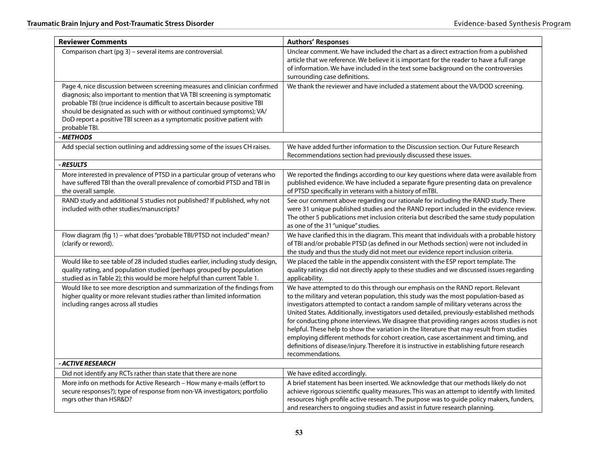| <b>Reviewer Comments</b>                                                                                                                                                                                                                                                                                                                                                                                    | <b>Authors' Responses</b>                                                                                                                                                                                                                                                                                                                                                                                                                                                                                                                                                                                                                                                                                                                                |
|-------------------------------------------------------------------------------------------------------------------------------------------------------------------------------------------------------------------------------------------------------------------------------------------------------------------------------------------------------------------------------------------------------------|----------------------------------------------------------------------------------------------------------------------------------------------------------------------------------------------------------------------------------------------------------------------------------------------------------------------------------------------------------------------------------------------------------------------------------------------------------------------------------------------------------------------------------------------------------------------------------------------------------------------------------------------------------------------------------------------------------------------------------------------------------|
| Comparison chart (pg 3) - several items are controversial.                                                                                                                                                                                                                                                                                                                                                  | Unclear comment. We have included the chart as a direct extraction from a published<br>article that we reference. We believe it is important for the reader to have a full range<br>of information. We have included in the text some background on the controversies<br>surrounding case definitions.                                                                                                                                                                                                                                                                                                                                                                                                                                                   |
| Page 4, nice discussion between screening measures and clinician confirmed<br>diagnosis; also important to mention that VA TBI screening is symptomatic<br>probable TBI (true incidence is difficult to ascertain because positive TBI<br>should be designated as such with or without continued symptoms); VA/<br>DoD report a positive TBI screen as a symptomatic positive patient with<br>probable TBI. | We thank the reviewer and have included a statement about the VA/DOD screening.                                                                                                                                                                                                                                                                                                                                                                                                                                                                                                                                                                                                                                                                          |
| <b>METHODS</b>                                                                                                                                                                                                                                                                                                                                                                                              |                                                                                                                                                                                                                                                                                                                                                                                                                                                                                                                                                                                                                                                                                                                                                          |
| Add special section outlining and addressing some of the issues CH raises.                                                                                                                                                                                                                                                                                                                                  | We have added further information to the Discussion section. Our Future Research<br>Recommendations section had previously discussed these issues.                                                                                                                                                                                                                                                                                                                                                                                                                                                                                                                                                                                                       |
| <b>RESULTS</b>                                                                                                                                                                                                                                                                                                                                                                                              |                                                                                                                                                                                                                                                                                                                                                                                                                                                                                                                                                                                                                                                                                                                                                          |
| More interested in prevalence of PTSD in a particular group of veterans who<br>have suffered TBI than the overall prevalence of comorbid PTSD and TBI in<br>the overall sample.                                                                                                                                                                                                                             | We reported the findings according to our key questions where data were available from<br>published evidence. We have included a separate figure presenting data on prevalence<br>of PTSD specifically in veterans with a history of mTBI.                                                                                                                                                                                                                                                                                                                                                                                                                                                                                                               |
| RAND study and additional 5 studies not published? If published, why not<br>included with other studies/manuscripts?                                                                                                                                                                                                                                                                                        | See our comment above regarding our rationale for including the RAND study. There<br>were 31 unique published studies and the RAND report included in the evidence review.<br>The other 5 publications met inclusion criteria but described the same study population<br>as one of the 31 "unique" studies.                                                                                                                                                                                                                                                                                                                                                                                                                                              |
| Flow diagram (fig 1) - what does "probable TBI/PTSD not included" mean?<br>(clarify or reword).                                                                                                                                                                                                                                                                                                             | We have clarified this in the diagram. This meant that individuals with a probable history<br>of TBI and/or probable PTSD (as defined in our Methods section) were not included in<br>the study and thus the study did not meet our evidence report inclusion criteria.                                                                                                                                                                                                                                                                                                                                                                                                                                                                                  |
| Would like to see table of 28 included studies earlier, including study design,<br>quality rating, and population studied (perhaps grouped by population<br>studied as in Table 2); this would be more helpful than current Table 1.                                                                                                                                                                        | We placed the table in the appendix consistent with the ESP report template. The<br>quality ratings did not directly apply to these studies and we discussed issues regarding<br>applicability.                                                                                                                                                                                                                                                                                                                                                                                                                                                                                                                                                          |
| Would like to see more description and summarization of the findings from<br>higher quality or more relevant studies rather than limited information<br>including ranges across all studies                                                                                                                                                                                                                 | We have attempted to do this through our emphasis on the RAND report. Relevant<br>to the military and veteran population, this study was the most population-based as<br>investigators attempted to contact a random sample of military veterans across the<br>United States. Additionally, investigators used detailed, previously-established methods<br>for conducting phone interviews. We disagree that providing ranges across studies is not<br>helpful. These help to show the variation in the literature that may result from studies<br>employing different methods for cohort creation, case ascertainment and timing, and<br>definitions of disease/injury. Therefore it is instructive in establishing future research<br>recommendations. |
| - ACTIVE RESEARCH                                                                                                                                                                                                                                                                                                                                                                                           |                                                                                                                                                                                                                                                                                                                                                                                                                                                                                                                                                                                                                                                                                                                                                          |
| Did not identify any RCTs rather than state that there are none                                                                                                                                                                                                                                                                                                                                             | We have edited accordingly.                                                                                                                                                                                                                                                                                                                                                                                                                                                                                                                                                                                                                                                                                                                              |
| More info on methods for Active Research - How many e-mails (effort to<br>secure responses?); type of response from non-VA investigators; portfolio<br>mgrs other than HSR&D?                                                                                                                                                                                                                               | A brief statement has been inserted. We acknowledge that our methods likely do not<br>achieve rigorous scientific quality measures. This was an attempt to identify with limited<br>resources high profile active research. The purpose was to guide policy makers, funders,<br>and researchers to ongoing studies and assist in future research planning.                                                                                                                                                                                                                                                                                                                                                                                               |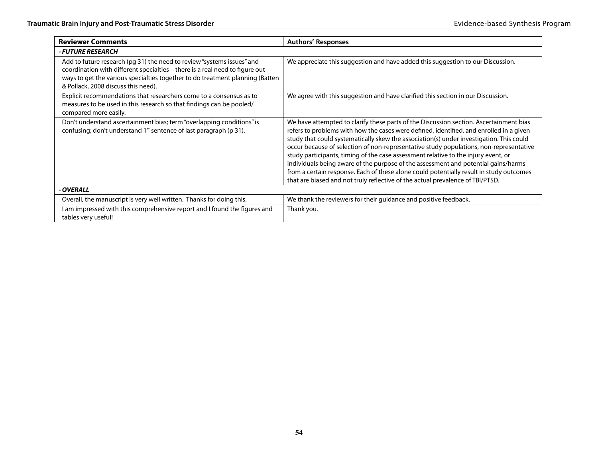| <b>Reviewer Comments</b>                                                                                                                                                                                                                                                       | <b>Authors' Responses</b>                                                                                                                                                                                                                                                                                                                                                                                                                                                                                                                                                                                                                                                                                                       |  |  |
|--------------------------------------------------------------------------------------------------------------------------------------------------------------------------------------------------------------------------------------------------------------------------------|---------------------------------------------------------------------------------------------------------------------------------------------------------------------------------------------------------------------------------------------------------------------------------------------------------------------------------------------------------------------------------------------------------------------------------------------------------------------------------------------------------------------------------------------------------------------------------------------------------------------------------------------------------------------------------------------------------------------------------|--|--|
| - FUTURE RESEARCH                                                                                                                                                                                                                                                              |                                                                                                                                                                                                                                                                                                                                                                                                                                                                                                                                                                                                                                                                                                                                 |  |  |
| Add to future research (pg 31) the need to review "systems issues" and<br>coordination with different specialties - there is a real need to figure out<br>ways to get the various specialties together to do treatment planning (Batten<br>& Pollack, 2008 discuss this need). | We appreciate this suggestion and have added this suggestion to our Discussion.                                                                                                                                                                                                                                                                                                                                                                                                                                                                                                                                                                                                                                                 |  |  |
| Explicit recommendations that researchers come to a consensus as to<br>measures to be used in this research so that findings can be pooled/<br>compared more easily.                                                                                                           | We agree with this suggestion and have clarified this section in our Discussion.                                                                                                                                                                                                                                                                                                                                                                                                                                                                                                                                                                                                                                                |  |  |
| Don't understand ascertainment bias; term "overlapping conditions" is<br>confusing; don't understand 1 <sup>st</sup> sentence of last paragraph (p 31).                                                                                                                        | We have attempted to clarify these parts of the Discussion section. Ascertainment bias<br>refers to problems with how the cases were defined, identified, and enrolled in a given<br>study that could systematically skew the association(s) under investigation. This could<br>occur because of selection of non-representative study populations, non-representative<br>study participants, timing of the case assessment relative to the injury event, or<br>individuals being aware of the purpose of the assessment and potential gains/harms<br>from a certain response. Each of these alone could potentially result in study outcomes<br>that are biased and not truly reflective of the actual prevalence of TBI/PTSD. |  |  |
| - OVERALL                                                                                                                                                                                                                                                                      |                                                                                                                                                                                                                                                                                                                                                                                                                                                                                                                                                                                                                                                                                                                                 |  |  |
| Overall, the manuscript is very well written. Thanks for doing this.                                                                                                                                                                                                           | We thank the reviewers for their guidance and positive feedback.                                                                                                                                                                                                                                                                                                                                                                                                                                                                                                                                                                                                                                                                |  |  |
| I am impressed with this comprehensive report and I found the figures and<br>tables very useful!                                                                                                                                                                               | Thank you.                                                                                                                                                                                                                                                                                                                                                                                                                                                                                                                                                                                                                                                                                                                      |  |  |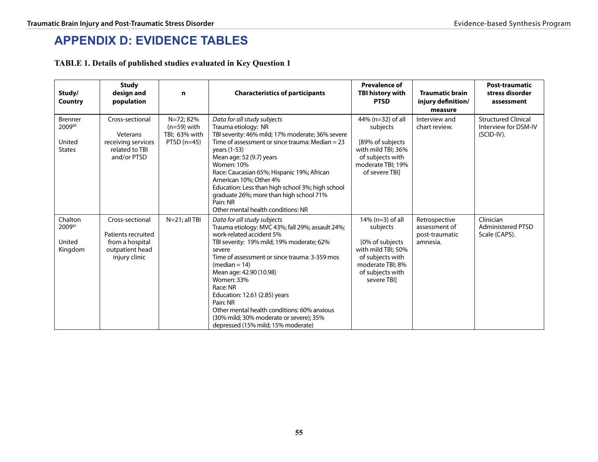# **Appendix D: EVIDENCE TABLES**

**TABLE 1. Details of published studies evaluated in Key Question 1**

| Study/<br>Country                                   | <b>Study</b><br>design and<br>population                                                     | n                                                            | <b>Characteristics of participants</b>                                                                                                                                                                                                                                                                                                                                                                                                                                          | <b>Prevalence of</b><br><b>TBI history with</b><br><b>PTSD</b>                                                                                       | <b>Traumatic brain</b><br>injury definition/<br>measure      | <b>Post-traumatic</b><br>stress disorder<br>assessment           |
|-----------------------------------------------------|----------------------------------------------------------------------------------------------|--------------------------------------------------------------|---------------------------------------------------------------------------------------------------------------------------------------------------------------------------------------------------------------------------------------------------------------------------------------------------------------------------------------------------------------------------------------------------------------------------------------------------------------------------------|------------------------------------------------------------------------------------------------------------------------------------------------------|--------------------------------------------------------------|------------------------------------------------------------------|
| <b>Brenner</b><br>200980<br>United<br><b>States</b> | Cross-sectional<br>Veterans<br>receiving services<br>related to TBI<br>and/or PTSD           | N=72; 82%<br>$(n=59)$ with<br>TBI; 63% with<br>PTSD $(n=45)$ | Data for all study subjects<br>Trauma etiology: NR<br>TBI severity: 46% mild; 17% moderate; 36% severe<br>Time of assessment or since trauma: Median = 23<br>vears (1-53)<br>Mean age: 52 (9.7) years<br><b>Women: 10%</b><br>Race: Caucasian 65%; Hispanic 19%; African<br>American 10%; Other 4%<br>Education: Less than high school 3%; high school<br>graduate 26%; more than high school 71%<br>Pain: NR<br>Other mental health conditions: NR                             | 44% (n=32) of all<br>subjects<br>[89% of subjects]<br>with mild TBI; 36%<br>of subjects with<br>moderate TBI; 19%<br>of severe TBII                  | Interview and<br>chart review.                               | <b>Structured Clinical</b><br>Interview for DSM-IV<br>(SCID-IV). |
| Chalton<br>200981<br>United<br>Kingdom              | Cross-sectional<br>Patients recruited<br>from a hospital<br>outpatient head<br>injury clinic | $N=21$ ; all TBI                                             | Data for all study subjects<br>Trauma etiology: MVC 43%; fall 29%; assault 24%;<br>work-related accident 5%<br>TBI severity: 19% mild; 19% moderate; 62%<br>severe<br>Time of assessment or since trauma: 3-359 mos<br>$(median = 14)$<br>Mean age: 42.90 (10.98)<br><b>Women: 33%</b><br>Race: NR<br>Education: 12.61 (2.85) years<br>Pain: NR<br>Other mental health conditions: 60% anxious<br>(30% mild; 30% moderate or severe); 35%<br>depressed (15% mild; 15% moderate) | $14\%$ (n=3) of all<br>subjects<br>[0% of subjects]<br>with mild TBI; 50%<br>of subjects with<br>moderate TBI; 8%<br>of subjects with<br>severe TBI] | Retrospective<br>assessment of<br>post-traumatic<br>amnesia. | Clinician<br><b>Administered PTSD</b><br>Scale (CAPS).           |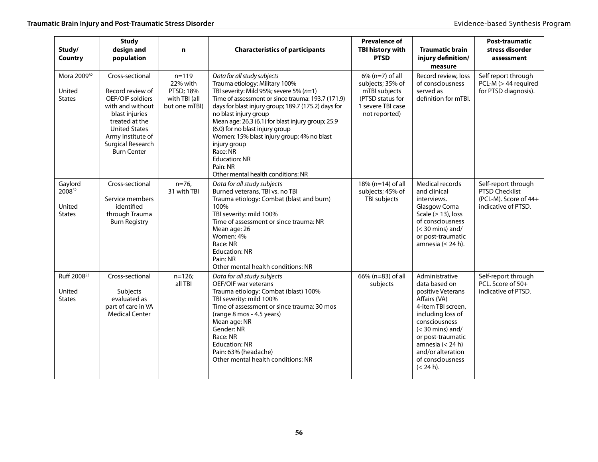| Study/<br><b>Country</b>                           | <b>Study</b><br>design and<br>population                                                                                                                                                                       | n                                                                    | <b>Characteristics of participants</b>                                                                                                                                                                                                                                                                                                                                                                                                                                                      | <b>Prevalence of</b><br><b>TBI history with</b><br><b>PTSD</b>                                                    | <b>Traumatic brain</b><br>injury definition/<br>measure                                                                                                                                                                                                 | <b>Post-traumatic</b><br>stress disorder<br>assessment                                |
|----------------------------------------------------|----------------------------------------------------------------------------------------------------------------------------------------------------------------------------------------------------------------|----------------------------------------------------------------------|---------------------------------------------------------------------------------------------------------------------------------------------------------------------------------------------------------------------------------------------------------------------------------------------------------------------------------------------------------------------------------------------------------------------------------------------------------------------------------------------|-------------------------------------------------------------------------------------------------------------------|---------------------------------------------------------------------------------------------------------------------------------------------------------------------------------------------------------------------------------------------------------|---------------------------------------------------------------------------------------|
| Mora 200982<br>United<br><b>States</b>             | Cross-sectional<br>Record review of<br>OEF/OIF soldiers<br>with and without<br>blast injuries<br>treated at the<br><b>United States</b><br>Army Institute of<br><b>Surgical Research</b><br><b>Burn Center</b> | $n = 119$<br>22% with<br>PTSD; 18%<br>with TBI (all<br>but one mTBI) | Data for all study subjects<br>Trauma etiology: Military 100%<br>TBI severity: Mild 95%; severe 5% $(n=1)$<br>Time of assessment or since trauma: 193.7 (171.9)<br>days for blast injury group; 189.7 (175.2) days for<br>no blast injury group<br>Mean age: 26.3 (6.1) for blast injury group; 25.9<br>(6.0) for no blast injury group<br>Women: 15% blast injury group; 4% no blast<br>injury group<br>Race: NR<br><b>Education: NR</b><br>Pain: NR<br>Other mental health conditions: NR | $6\%$ (n=7) of all<br>subjects; 35% of<br>mTBI subjects<br>(PTSD status for<br>1 severe TBI case<br>not reported) | Record review, loss<br>of consciousness<br>served as<br>definition for mTBI.                                                                                                                                                                            | Self report through<br>PCL-M (> 44 required<br>for PTSD diagnosis).                   |
| Gaylord<br>200852<br>United<br><b>States</b>       | Cross-sectional<br>Service members<br>identified<br>through Trauma<br><b>Burn Registry</b>                                                                                                                     | $n=76.$<br>31 with TBI                                               | Data for all study subjects<br>Burned veterans, TBI vs. no TBI<br>Trauma etiology: Combat (blast and burn)<br>100%<br>TBI severity: mild 100%<br>Time of assessment or since trauma: NR<br>Mean age: 26<br>Women: 4%<br>Race: NR<br><b>Education: NR</b><br>Pain: NR<br>Other mental health conditions: NR                                                                                                                                                                                  | 18% (n=14) of all<br>subjects; 45% of<br>TBI subjects                                                             | Medical records<br>and clinical<br>interviews.<br>Glasgow Coma<br>Scale ( $\geq$ 13), loss<br>of consciousness<br>$(<$ 30 mins) and/<br>or post-traumatic<br>amnesia ( $\leq$ 24 h).                                                                    | Self-report through<br>PTSD Checklist<br>(PCL-M). Score of 44+<br>indicative of PTSD. |
| Ruff 2008 <sup>53</sup><br>United<br><b>States</b> | Cross-sectional<br>Subjects<br>evaluated as<br>part of care in VA<br><b>Medical Center</b>                                                                                                                     | $n=126;$<br>all TBI                                                  | Data for all study subjects<br>OEF/OIF war veterans<br>Trauma etiology: Combat (blast) 100%<br>TBI severity: mild 100%<br>Time of assessment or since trauma: 30 mos<br>(range 8 mos - 4.5 years)<br>Mean age: NR<br>Gender: NR<br>Race: NR<br><b>Education: NR</b><br>Pain: 63% (headache)<br>Other mental health conditions: NR                                                                                                                                                           | 66% (n=83) of all<br>subjects                                                                                     | Administrative<br>data based on<br>positive Veterans<br>Affairs (VA)<br>4-item TBI screen,<br>including loss of<br>consciousness<br>$(<$ 30 mins) and/<br>or post-traumatic<br>amnesia $(< 24 h)$<br>and/or alteration<br>of consciousness<br>(< 24 h). | Self-report through<br>PCL. Score of 50+<br>indicative of PTSD.                       |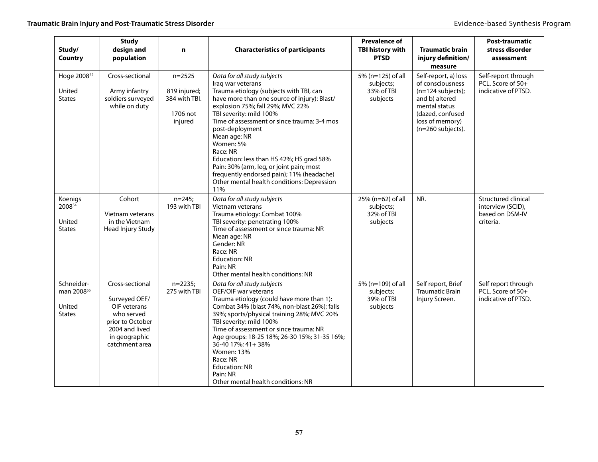| Study/<br><b>Country</b>                                        | <b>Study</b><br>design and<br>population                                                                                                | $\mathbf n$                                                        | <b>Characteristics of participants</b>                                                                                                                                                                                                                                                                                                                                                                                                                                                                          | <b>Prevalence of</b><br>TBI history with<br><b>PTSD</b>  | <b>Traumatic brain</b><br>injury definition/<br>measure                                                                                                          | Post-traumatic<br>stress disorder<br>assessment                                 |
|-----------------------------------------------------------------|-----------------------------------------------------------------------------------------------------------------------------------------|--------------------------------------------------------------------|-----------------------------------------------------------------------------------------------------------------------------------------------------------------------------------------------------------------------------------------------------------------------------------------------------------------------------------------------------------------------------------------------------------------------------------------------------------------------------------------------------------------|----------------------------------------------------------|------------------------------------------------------------------------------------------------------------------------------------------------------------------|---------------------------------------------------------------------------------|
| Hoge 2008 <sup>22</sup><br>United<br><b>States</b>              | Cross-sectional<br>Army infantry<br>soldiers surveyed<br>while on duty                                                                  | $n = 2525$<br>819 injured;<br>384 with TBI.<br>1706 not<br>injured | Data for all study subjects<br>Iraq war veterans<br>Trauma etiology (subjects with TBI, can<br>have more than one source of injury): Blast/<br>explosion 75%; fall 29%; MVC 22%<br>TBI severity: mild 100%<br>Time of assessment or since trauma: 3-4 mos<br>post-deployment<br>Mean age: NR<br>Women: 5%<br>Race: NR<br>Education: less than HS 42%; HS grad 58%<br>Pain: 30% (arm, leg, or joint pain; most<br>frequently endorsed pain); 11% (headache)<br>Other mental health conditions: Depression<br>11% | 5% (n=125) of all<br>subjects;<br>33% of TBI<br>subjects | Self-report, a) loss<br>of consciousness<br>$(n=124$ subjects);<br>and b) altered<br>mental status<br>(dazed, confused<br>loss of memory)<br>$(n=260$ subjects). | Self-report through<br>PCL. Score of 50+<br>indicative of PTSD.                 |
| Koenigs<br>200854<br>United<br><b>States</b>                    | Cohort<br>Vietnam veterans<br>in the Vietnam<br>Head Injury Study                                                                       | $n = 245;$<br>193 with TBI                                         | Data for all study subjects<br>Vietnam veterans<br>Trauma etiology: Combat 100%<br>TBI severity: penetrating 100%<br>Time of assessment or since trauma: NR<br>Mean age: NR<br>Gender: NR<br>Race: NR<br><b>Education: NR</b><br>Pain: NR<br>Other mental health conditions: NR                                                                                                                                                                                                                                 | 25% (n=62) of all<br>subjects;<br>32% of TBI<br>subjects | NR.                                                                                                                                                              | <b>Structured clinical</b><br>interview (SCID),<br>based on DSM-IV<br>criteria. |
| Schneider-<br>man 2008 <sup>55</sup><br>United<br><b>States</b> | Cross-sectional<br>Surveyed OEF/<br>OIF veterans<br>who served<br>prior to October<br>2004 and lived<br>in geographic<br>catchment area | $n=2235;$<br>275 with TBI                                          | Data for all study subjects<br>OEF/OIF war veterans<br>Trauma etiology (could have more than 1):<br>Combat 34% (blast 74%, non-blast 26%); falls<br>39%; sports/physical training 28%; MVC 20%<br>TBI severity: mild 100%<br>Time of assessment or since trauma: NR<br>Age groups: 18-25 18%; 26-30 15%; 31-35 16%;<br>36-40 17%; 41+ 38%<br>Women: 13%<br>Race: NR<br><b>Education: NR</b><br>Pain: NR<br>Other mental health conditions: NR                                                                   | 5% (n=109) of all<br>subjects;<br>39% of TBI<br>subjects | Self report, Brief<br><b>Traumatic Brain</b><br>Injury Screen.                                                                                                   | Self report through<br>PCL. Score of 50+<br>indicative of PTSD.                 |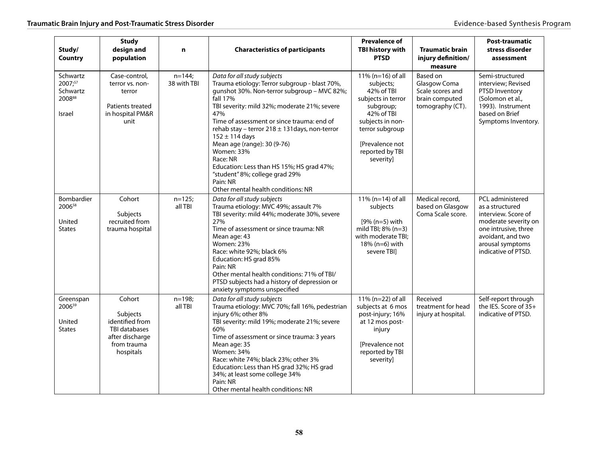| Study/<br>Country                                          | <b>Study</b><br>design and<br>population                                                                     | n                        | <b>Characteristics of participants</b>                                                                                                                                                                                                                                                                                                                                                                                                                                                                             | <b>Prevalence of</b><br>TBI history with<br><b>PTSD</b>                                                                                                                                      | <b>Traumatic brain</b><br>injury definition/<br>measure                            | Post-traumatic<br>stress disorder<br>assessment                                                                                                                            |
|------------------------------------------------------------|--------------------------------------------------------------------------------------------------------------|--------------------------|--------------------------------------------------------------------------------------------------------------------------------------------------------------------------------------------------------------------------------------------------------------------------------------------------------------------------------------------------------------------------------------------------------------------------------------------------------------------------------------------------------------------|----------------------------------------------------------------------------------------------------------------------------------------------------------------------------------------------|------------------------------------------------------------------------------------|----------------------------------------------------------------------------------------------------------------------------------------------------------------------------|
| Schwartz<br>2007;57<br>Schwartz<br>200888<br><b>Israel</b> | Case-control,<br>terror vs. non-<br>terror<br>Patients treated<br>in hospital PM&R<br>unit                   | $n = 144$<br>38 with TBI | Data for all study subjects<br>Trauma etiology: Terror subgroup - blast 70%,<br>qunshot 30%. Non-terror subgroup - MVC 82%;<br>fall 17%<br>TBI severity: mild 32%; moderate 21%; severe<br>47%<br>Time of assessment or since trauma: end of<br>rehab stay - terror $218 \pm 131$ days, non-terror<br>$152 \pm 114$ days<br>Mean age (range): 30 (9-76)<br>Women: 33%<br>Race: NR<br>Education: Less than HS 15%; HS grad 47%;<br>"student" 8%; college grad 29%<br>Pain: NR<br>Other mental health conditions: NR | 11% ( $n=16$ ) of all<br>subjects;<br>42% of TBI<br>subjects in terror<br>subgroup;<br>42% of TBI<br>subjects in non-<br>terror subgroup<br>[Prevalence not]<br>reported by TBI<br>severity] | Based on<br>Glasgow Coma<br>Scale scores and<br>brain computed<br>tomography (CT). | Semi-structured<br>interview; Revised<br>PTSD Inventory<br>(Solomon et al.,<br>1993). Instrument<br>based on Brief<br>Symptoms Inventory.                                  |
| <b>Bombardier</b><br>200658<br>United<br><b>States</b>     | Cohort<br><b>Subjects</b><br>recruited from<br>trauma hospital                                               | $n=125;$<br>all TBI      | Data for all study subjects<br>Trauma etiology: MVC 49%; assault 7%<br>TBI severity: mild 44%; moderate 30%, severe<br>27%<br>Time of assessment or since trauma: NR<br>Mean age: 43<br><b>Women: 23%</b><br>Race: white 92%; black 6%<br>Education: HS grad 85%<br>Pain: NR<br>Other mental health conditions: 71% of TBI/<br>PTSD subjects had a history of depression or<br>anxiety symptoms unspecified                                                                                                        | 11% (n=14) of all<br>subjects<br>$[9% (n=5) with$<br>mild TBI; $8\%$ (n=3)<br>with moderate TBI;<br>18% (n=6) with<br>severe TBI]                                                            | Medical record,<br>based on Glasgow<br>Coma Scale score.                           | PCL administered<br>as a structured<br>interview. Score of<br>moderate severity on<br>one intrusive, three<br>avoidant, and two<br>arousal symptoms<br>indicative of PTSD. |
| Greenspan<br>200659<br>United<br><b>States</b>             | Cohort<br>Subjects<br>identified from<br><b>TBI databases</b><br>after discharge<br>from trauma<br>hospitals | $n=198;$<br>all TBI      | Data for all study subjects<br>Trauma etiology: MVC 70%; fall 16%, pedestrian<br>injury 6%; other 8%<br>TBI severity: mild 19%; moderate 21%; severe<br>60%<br>Time of assessment or since trauma: 3 years<br>Mean age: 35<br>Women: 34%<br>Race: white 74%; black 23%; other 3%<br>Education: Less than HS grad 32%; HS grad<br>34%; at least some college 34%<br>Pain: NR<br>Other mental health conditions: NR                                                                                                  | 11% (n=22) of all<br>subjects at 6 mos<br>post-injury; 16%<br>at 12 mos post-<br>injury<br>[Prevalence not<br>reported by TBI<br>severity]                                                   | Received<br>treatment for head<br>injury at hospital.                              | Self-report through<br>the IES. Score of 35+<br>indicative of PTSD.                                                                                                        |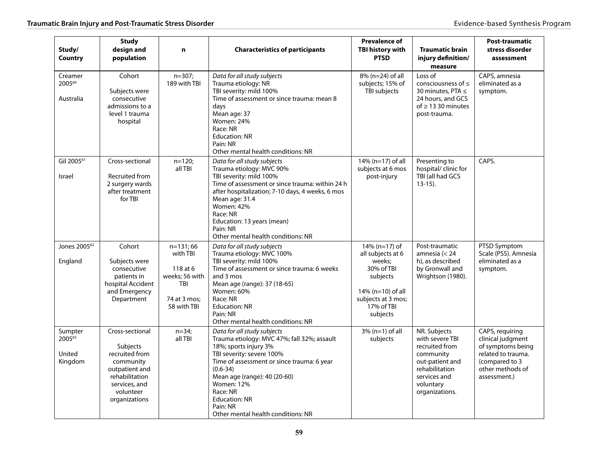| Study/<br>Country                       | <b>Study</b><br>design and<br>population                                                                                                             | n                                                                                        | <b>Characteristics of participants</b>                                                                                                                                                                                                                                                                                             | <b>Prevalence of</b><br>TBI history with<br><b>PTSD</b>                                                                                        | <b>Traumatic brain</b><br>injury definition/<br>measure                                                                                            | Post-traumatic<br>stress disorder<br>assessment                                                                                       |
|-----------------------------------------|------------------------------------------------------------------------------------------------------------------------------------------------------|------------------------------------------------------------------------------------------|------------------------------------------------------------------------------------------------------------------------------------------------------------------------------------------------------------------------------------------------------------------------------------------------------------------------------------|------------------------------------------------------------------------------------------------------------------------------------------------|----------------------------------------------------------------------------------------------------------------------------------------------------|---------------------------------------------------------------------------------------------------------------------------------------|
| Creamer<br>200560<br>Australia          | Cohort<br>Subjects were<br>consecutive<br>admissions to a<br>level 1 trauma<br>hospital                                                              | $n=307;$<br>189 with TBI                                                                 | Data for all study subjects<br>Trauma etiology: NR<br>TBI severity: mild 100%<br>Time of assessment or since trauma: mean 8<br>days<br>Mean age: 37<br><b>Women: 24%</b><br>Race: NR<br><b>Education: NR</b><br>Pain: NR<br>Other mental health conditions: NR                                                                     | 8% (n=24) of all<br>subjects; 15% of<br>TBI subjects                                                                                           | Loss of<br>consciousness of $\leq$<br>30 minutes, PTA ≤<br>24 hours, and GCS<br>of $\geq$ 13 30 minutes<br>post-trauma.                            | CAPS, amnesia<br>eliminated as a<br>symptom.                                                                                          |
| Gil 2005 <sup>61</sup><br><b>Israel</b> | Cross-sectional<br><b>Recruited from</b><br>2 surgery wards<br>after treatment<br>for TBI                                                            | $n=120;$<br>all TBI                                                                      | Data for all study subjects<br>Trauma etiology: MVC 90%<br>TBI severity: mild 100%<br>Time of assessment or since trauma: within 24 h<br>after hospitalization; 7-10 days, 4 weeks, 6 mos<br>Mean age: 31.4<br>Women: 42%<br>Race: NR<br>Education: 13 years (mean)<br>Pain: NR<br>Other mental health conditions: NR              | 14% (n=17) of all<br>subjects at 6 mos<br>post-injury                                                                                          | Presenting to<br>hospital/ clinic for<br>TBI (all had GCS<br>$13-15$ ).                                                                            | CAPS.                                                                                                                                 |
| Jones 2005 <sup>62</sup><br>England     | Cohort<br>Subjects were<br>consecutive<br>patients in<br>hospital Accident<br>and Emergency<br>Department                                            | n=131;66<br>with TBI<br>118 at 6<br>weeks; 56 with<br>TBI<br>74 at 3 mos:<br>58 with TBI | Data for all study subjects<br>Trauma etiology: MVC 100%<br>TBI severity: mild 100%<br>Time of assessment or since trauma: 6 weeks<br>and 3 mos<br>Mean age (range): 37 (18-65)<br><b>Women: 60%</b><br>Race: NR<br><b>Education: NR</b><br>Pain: NR<br>Other mental health conditions: NR                                         | 14% (n=17) of<br>all subjects at 6<br>weeks:<br>30% of TBI<br>subjects<br>$14\%$ (n=10) of all<br>subjects at 3 mos;<br>17% of TBI<br>subjects | Post-traumatic<br>amnesia ( $<$ 24<br>h), as described<br>by Gronwall and<br>Wrightson (1980).                                                     | PTSD Symptom<br>Scale (PSS). Amnesia<br>eliminated as a<br>symptom.                                                                   |
| Sumpter<br>200563<br>United<br>Kingdom  | Cross-sectional<br><b>Subjects</b><br>recruited from<br>community<br>outpatient and<br>rehabilitation<br>services, and<br>volunteer<br>organizations | $n=34;$<br>all TBI                                                                       | Data for all study subjects<br>Trauma etiology: MVC 47%; fall 32%; assault<br>18%; sports injury 3%<br>TBI severity: severe 100%<br>Time of assessment or since trauma: 6 year<br>$(0.6 - 34)$<br>Mean age (range): 40 (20-60)<br>Women: 12%<br>Race: NR<br><b>Education: NR</b><br>Pain: NR<br>Other mental health conditions: NR | $3\%$ (n=1) of all<br>subjects                                                                                                                 | NR. Subjects<br>with severe TBI<br>recruited from<br>community<br>out-patient and<br>rehabilitation<br>services and<br>voluntary<br>organizations. | CAPS, requiring<br>clinical judgment<br>of symptoms being<br>related to trauma.<br>(compared to 3<br>other methods of<br>assessment.) |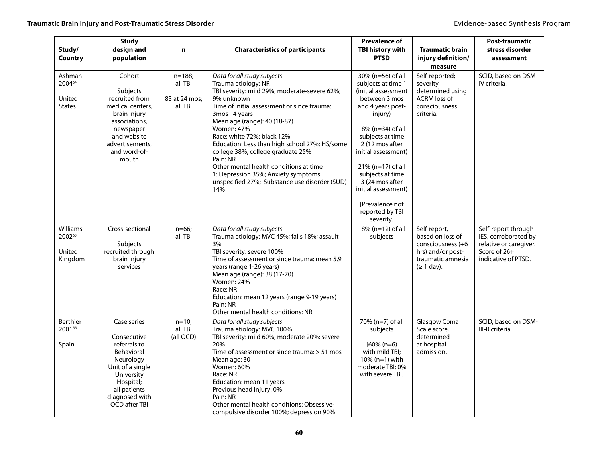| Study/<br>Country                           | <b>Study</b><br>design and<br>population                                                                                                                                 | n                                                | <b>Characteristics of participants</b>                                                                                                                                                                                                                                                                                                                                                                                                                                                                          | <b>Prevalence of</b><br><b>TBI history with</b><br><b>PTSD</b>                                                                                                                                                                                                                                                                              | <b>Traumatic brain</b><br>injury definition/<br>measure                                                            | <b>Post-traumatic</b><br>stress disorder<br>assessment                                                       |
|---------------------------------------------|--------------------------------------------------------------------------------------------------------------------------------------------------------------------------|--------------------------------------------------|-----------------------------------------------------------------------------------------------------------------------------------------------------------------------------------------------------------------------------------------------------------------------------------------------------------------------------------------------------------------------------------------------------------------------------------------------------------------------------------------------------------------|---------------------------------------------------------------------------------------------------------------------------------------------------------------------------------------------------------------------------------------------------------------------------------------------------------------------------------------------|--------------------------------------------------------------------------------------------------------------------|--------------------------------------------------------------------------------------------------------------|
| Ashman<br>200464<br>United<br><b>States</b> | Cohort<br><b>Subjects</b><br>recruited from<br>medical centers.<br>brain injury<br>associations,<br>newspaper<br>and website<br>advertisements,<br>and word-of-<br>mouth | $n = 188$<br>all TBI<br>83 at 24 mos;<br>all TBI | Data for all study subjects<br>Trauma etiology: NR<br>TBI severity: mild 29%; moderate-severe 62%;<br>9% unknown<br>Time of initial assessment or since trauma:<br>3mos - 4 years<br>Mean age (range): 40 (18-87)<br><b>Women: 47%</b><br>Race: white 72%; black 12%<br>Education: Less than high school 27%; HS/some<br>college 38%; college graduate 25%<br>Pain: NR<br>Other mental health conditions at time<br>1: Depression 35%; Anxiety symptoms<br>unspecified 27%; Substance use disorder (SUD)<br>14% | 30% (n=56) of all<br>subjects at time 1<br>(initial assessment<br>between 3 mos<br>and 4 years post-<br>injury)<br>18% (n=34) of all<br>subjects at time<br>2 (12 mos after<br>initial assessment)<br>$21\%$ (n=17) of all<br>subjects at time<br>3 (24 mos after<br>initial assessment)<br>[Prevalence not<br>reported by TBI<br>severity] | Self-reported;<br>severity<br>determined using<br><b>ACRM</b> loss of<br>consciousness<br>criteria.                | SCID, based on DSM-<br>IV criteria.                                                                          |
| Williams<br>200265<br>United<br>Kingdom     | Cross-sectional<br><b>Subjects</b><br>recruited through<br>brain injury<br>services                                                                                      | $n=66$ ;<br>all TBI                              | Data for all study subjects<br>Trauma etiology: MVC 45%; falls 18%; assault<br>3%<br>TBI severity: severe 100%<br>Time of assessment or since trauma: mean 5.9<br>years (range 1-26 years)<br>Mean age (range): 38 (17-70)<br>Women: 24%<br>Race: NR<br>Education: mean 12 years (range 9-19 years)<br>Pain: NR<br>Other mental health conditions: NR                                                                                                                                                           | 18% (n=12) of all<br>subjects                                                                                                                                                                                                                                                                                                               | Self-report,<br>based on loss of<br>consciousness (+6<br>hrs) and/or post-<br>traumatic amnesia<br>$(\geq 1$ day). | Self-report through<br>IES, corroborated by<br>relative or caregiver.<br>Score of 26+<br>indicative of PTSD. |
| Berthier<br>200166<br>Spain                 | Case series<br>Consecutive<br>referrals to<br>Behavioral<br>Neurology<br>Unit of a single<br>University<br>Hospital;<br>all patients<br>diagnosed with<br>OCD after TBI  | $n=10;$<br>all TBI<br>(all OCD)                  | Data for all study subjects<br>Trauma etiology: MVC 100%<br>TBI severity: mild 60%; moderate 20%; severe<br>20%<br>Time of assessment or since trauma: $> 51$ mos<br>Mean age: 30<br><b>Women: 60%</b><br>Race: NR<br>Education: mean 11 years<br>Previous head injury: 0%<br>Pain: NR<br>Other mental health conditions: Obsessive-<br>compulsive disorder 100%; depression 90%                                                                                                                                | 70% (n=7) of all<br>subjects<br>$[60\% (n=6)]$<br>with mild TBI;<br>10% (n=1) with<br>moderate TBI; 0%<br>with severe TBII                                                                                                                                                                                                                  | Glasgow Coma<br>Scale score,<br>determined<br>at hospital<br>admission.                                            | SCID, based on DSM-<br>III-R criteria.                                                                       |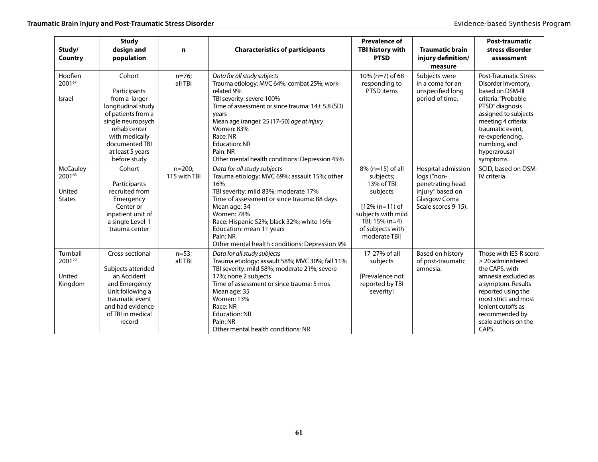| Study/<br>Country                                    | <b>Study</b><br>design and<br>population                                                                                                                                                         | $\mathbf n$             | <b>Characteristics of participants</b>                                                                                                                                                                                                                                                                                                                       | <b>Prevalence of</b><br>TBI history with<br><b>PTSD</b>                                                                                                   | <b>Traumatic brain</b><br>injury definition/<br>measure                                                          | <b>Post-traumatic</b><br>stress disorder<br>assessment                                                                                                                                                                                                |
|------------------------------------------------------|--------------------------------------------------------------------------------------------------------------------------------------------------------------------------------------------------|-------------------------|--------------------------------------------------------------------------------------------------------------------------------------------------------------------------------------------------------------------------------------------------------------------------------------------------------------------------------------------------------------|-----------------------------------------------------------------------------------------------------------------------------------------------------------|------------------------------------------------------------------------------------------------------------------|-------------------------------------------------------------------------------------------------------------------------------------------------------------------------------------------------------------------------------------------------------|
| Hoofien<br>200167<br>Israel                          | Cohort<br>Participants<br>from a larger<br>longitudinal study<br>of patients from a<br>single neuropsych<br>rehab center<br>with medically<br>documented TBI<br>at least 5 years<br>before study | $n=76$ ;<br>all TBI     | Data for all study subjects<br>Trauma etiology: MVC 64%; combat 25%; work-<br>related 9%<br>TBI severity: severe 100%<br>Time of assessment or since trauma: $14 \pm 5.8$ (SD)<br>years<br>Mean age (range): 25 (17-50) age at injury<br><b>Women: 83%</b><br>Race: NR<br><b>Education: NR</b><br>Pain: NR<br>Other mental health conditions: Depression 45% | $10\%$ (n=7) of 68<br>responding to<br>PTSD items                                                                                                         | Subjects were<br>in a coma for an<br>unspecified long<br>period of time.                                         | <b>Post-Traumatic Stress</b><br>Disorder Inventory,<br>based on DSM-III<br>criteria. "Probable<br>PTSD" diagnosis<br>assigned to subjects<br>meeting 4 criteria:<br>traumatic event,<br>re-experiencing,<br>numbing, and<br>hyperarousal<br>symptoms. |
| <b>McCauley</b><br>200168<br>United<br><b>States</b> | Cohort<br>Participants<br>recruited from<br>Emergency<br>Center or<br>inpatient unit of<br>a single Level-1<br>trauma center                                                                     | $n=200$<br>115 with TBI | Data for all study subjects<br>Trauma etiology: MVC 69%; assault 15%; other<br>16%<br>TBI severity: mild 83%; moderate 17%<br>Time of assessment or since trauma: 88 days<br>Mean age: 34<br><b>Women: 78%</b><br>Race: Hispanic 52%; black 32%; white 16%<br>Education: mean 11 years<br>Pain: NR<br>Other mental health conditions: Depression 9%          | 8% (n=15) of all<br>subjects;<br>13% of TBI<br>subjects<br>$[12\% (n=11)$ of<br>subjects with mild<br>TBI; 15% (n=4)<br>of subjects with<br>moderate TBI] | Hospital admission<br>logs ("non-<br>penetrating head<br>injury" based on<br>Glasgow Coma<br>Scale scores 9-15). | SCID, based on DSM-<br>IV criteria.                                                                                                                                                                                                                   |
| Turnball<br>200179<br>United<br>Kingdom              | Cross-sectional<br>Subjects attended<br>an Accident<br>and Emergency<br>Unit following a<br>traumatic event<br>and had evidence<br>of TBI in medical<br>record                                   | $n=53;$<br>all TBI      | Data for all study subjects<br>Trauma etiology: assault 58%; MVC 30%; fall 11%<br>TBI severity: mild 58%; moderate 21%; severe<br>17%; none 2 subjects<br>Time of assessment or since trauma: 5 mos<br>Mean age: 35<br><b>Women: 13%</b><br>Race: NR<br><b>Education: NR</b><br>Pain: NR<br>Other mental health conditions: NR                               | 17-27% of all<br>subjects<br>[Prevalence not<br>reported by TBI<br>severity]                                                                              | Based on history<br>of post-traumatic<br>amnesia.                                                                | Those with IES-R score<br>$\geq$ 20 administered<br>the CAPS, with<br>amnesia excluded as<br>a symptom. Results<br>reported using the<br>most strict and most<br>lenient cutoffs as<br>recommended by<br>scale authors on the<br>CAPS.                |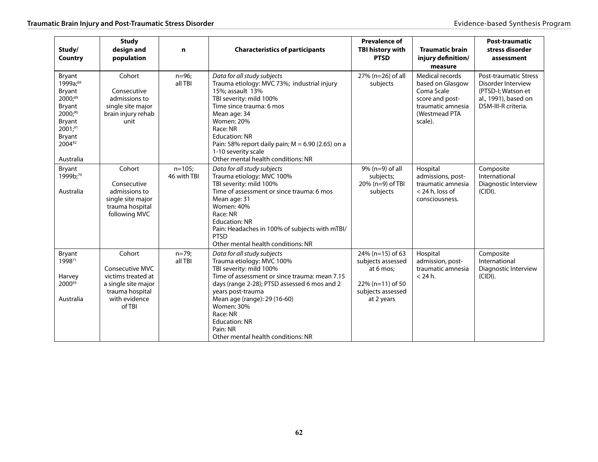| Study/<br>Country                                                                                                           | <b>Study</b><br>design and<br>population                                                                                    | $\mathbf n$              | <b>Characteristics of participants</b>                                                                                                                                                                                                                                                                                                               | <b>Prevalence of</b><br><b>TBI history with</b><br><b>PTSD</b>                                            | <b>Traumatic brain</b><br>injury definition/<br>measure                                                               | <b>Post-traumatic</b><br>stress disorder<br>assessment                                                                  |
|-----------------------------------------------------------------------------------------------------------------------------|-----------------------------------------------------------------------------------------------------------------------------|--------------------------|------------------------------------------------------------------------------------------------------------------------------------------------------------------------------------------------------------------------------------------------------------------------------------------------------------------------------------------------------|-----------------------------------------------------------------------------------------------------------|-----------------------------------------------------------------------------------------------------------------------|-------------------------------------------------------------------------------------------------------------------------|
| Bryant<br>1999a;69<br>Bryant<br>$2000^{89}$<br>Bryant<br>2000;90<br>Bryant<br>$2001;^{91}$<br>Bryant<br>200492<br>Australia | Cohort<br>Consecutive<br>admissions to<br>single site major<br>brain injury rehab<br>unit                                   | $n = 96;$<br>all TBI     | Data for all study subjects<br>Trauma etiology: MVC 73%; industrial injury<br>15%; assault 13%<br>TBI severity: mild 100%<br>Time since trauma: 6 mos<br>Mean age: 34<br><b>Women: 20%</b><br>Race: NR<br><b>Education: NR</b><br>Pain: 58% report daily pain; $M = 6.90$ (2.65) on a<br>1-10 severity scale<br>Other mental health conditions: NR   | 27% (n=26) of all<br>subjects                                                                             | Medical records<br>based on Glasgow<br>Coma Scale<br>score and post-<br>traumatic amnesia<br>(Westmead PTA<br>scale). | <b>Post-traumatic Stress</b><br>Disorder Interview<br>(PTSD-I; Watson et<br>al., 1991), based on<br>DSM-III-R criteria. |
| Bryant<br>1999b;70<br>Australia                                                                                             | Cohort<br>Consecutive<br>admissions to<br>single site major<br>trauma hospital<br>following MVC                             | $n = 105$<br>46 with TBI | Data for all study subjects<br>Trauma etiology: MVC 100%<br>TBI severity: mild 100%<br>Time of assessment or since trauma: 6 mos<br>Mean age: 31<br><b>Women: 40%</b><br>Race: NR<br><b>Education: NR</b><br>Pain: Headaches in 100% of subjects with mTBI/<br><b>PTSD</b><br>Other mental health conditions: NR                                     | 9% (n=9) of all<br>subjects;<br>20% (n=9) of TBI<br>subjects                                              | Hospital<br>admissions, post-<br>traumatic amnesia<br>< 24 h, loss of<br>consciousness.                               | Composite<br>International<br>Diagnostic Interview<br>(CIDI).                                                           |
| Bryant<br>199871<br>Harvey<br>200093<br>Australia                                                                           | Cohort<br><b>Consecutive MVC</b><br>victims treated at<br>a single site major<br>trauma hospital<br>with evidence<br>of TBI | $n=79;$<br>all TBI       | Data for all study subjects<br>Trauma etiology: MVC 100%<br>TBI severity: mild 100%<br>Time of assessment or since trauma: mean 7.15<br>days (range 2-28); PTSD assessed 6 mos and 2<br>years post-trauma<br>Mean age (range): 29 (16-60)<br><b>Women: 30%</b><br>Race: NR<br><b>Education: NR</b><br>Pain: NR<br>Other mental health conditions: NR | 24% (n=15) of 63<br>subjects assessed<br>at 6 mos;<br>22% (n=11) of 50<br>subjects assessed<br>at 2 years | Hospital<br>admission, post-<br>traumatic amnesia<br>$<$ 24 h.                                                        | Composite<br>International<br>Diagnostic Interview<br>(CIDI).                                                           |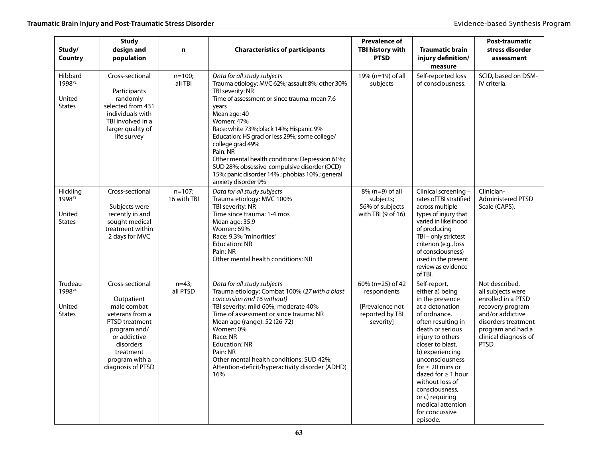| Study/<br>Country                             | <b>Study</b><br>design and<br>population                                                                                                                                           | n                       | <b>Characteristics of participants</b>                                                                                                                                                                                                                                                                                                                                                                                                                                                           | <b>Prevalence of</b><br>TBI history with<br><b>PTSD</b>                            | <b>Traumatic brain</b><br>injury definition/<br>measure                                                                                                                                                                                                                                                                                                                      | <b>Post-traumatic</b><br>stress disorder<br>assessment                                                                                                                          |
|-----------------------------------------------|------------------------------------------------------------------------------------------------------------------------------------------------------------------------------------|-------------------------|--------------------------------------------------------------------------------------------------------------------------------------------------------------------------------------------------------------------------------------------------------------------------------------------------------------------------------------------------------------------------------------------------------------------------------------------------------------------------------------------------|------------------------------------------------------------------------------------|------------------------------------------------------------------------------------------------------------------------------------------------------------------------------------------------------------------------------------------------------------------------------------------------------------------------------------------------------------------------------|---------------------------------------------------------------------------------------------------------------------------------------------------------------------------------|
| Hibbard<br>199872<br>United<br><b>States</b>  | Cross-sectional<br>Participants<br>randomly<br>selected from 431<br>individuals with<br>TBI involved in a<br>larger quality of<br>life survey                                      | $n=100;$<br>all TBI     | Data for all study subjects<br>Trauma etiology: MVC 62%; assault 8%; other 30%<br>TBI severity: NR<br>Time of assessment or since trauma: mean 7.6<br>years<br>Mean age: 40<br>Women: 47%<br>Race: white 73%; black 14%; Hispanic 9%<br>Education: HS grad or less 29%; some college/<br>college grad 49%<br>Pain: NR<br>Other mental health conditions: Depression 61%;<br>SUD 28%; obsessive-compulsive disorder (OCD)<br>15%; panic disorder 14%; phobias 10%; general<br>anxiety disorder 9% | 19% (n=19) of all<br>subjects                                                      | Self-reported loss<br>of consciousness.                                                                                                                                                                                                                                                                                                                                      | SCID, based on DSM-<br>IV criteria.                                                                                                                                             |
| Hickling<br>199873<br>United<br><b>States</b> | Cross-sectional<br>Subjects were<br>recently in and<br>sought medical<br>treatment within<br>2 days for MVC                                                                        | $n=107;$<br>16 with TBI | Data for all study subjects<br>Trauma etiology: MVC 100%<br>TBI severity: NR<br>Time since trauma: 1-4 mos<br>Mean age: 35.9<br>Women: 69%<br>Race: 9.3% "minorities"<br><b>Education: NR</b><br>Pain: NR<br>Other mental health conditions: NR                                                                                                                                                                                                                                                  | 8% (n=9) of all<br>subjects;<br>56% of subjects<br>with TBI (9 of 16)              | Clinical screening -<br>rates of TBI stratified<br>across multiple<br>types of injury that<br>varied in likelihood<br>of producing<br>TBI - only strictest<br>criterion (e.g., loss<br>of consciousness)<br>used in the present<br>review as evidence<br>of TBI.                                                                                                             | Clinician-<br><b>Administered PTSD</b><br>Scale (CAPS).                                                                                                                         |
| Trudeau<br>199874<br>United<br><b>States</b>  | Cross-sectional<br>Outpatient<br>male combat<br>veterans from a<br>PTSD treatment<br>program and/<br>or addictive<br>disorders<br>treatment<br>program with a<br>diagnosis of PTSD | $n=43;$<br>all PTSD     | Data for all study subjects<br>Trauma etiology: Combat 100% (27 with a blast<br>concussion and 16 without)<br>TBI severity: mild 60%; moderate 40%<br>Time of assessment or since trauma: NR<br>Mean age (range): 52 (26-72)<br>Women: 0%<br>Race: NR<br><b>Education: NR</b><br>Pain: NR<br>Other mental health conditions: SUD 42%;<br>Attention-deficit/hyperactivity disorder (ADHD)<br>16%                                                                                                  | 60% (n=25) of 42<br>respondents<br>[Prevalence not<br>reported by TBI<br>severity] | Self-report,<br>either a) being<br>in the presence<br>at a detonation<br>of ordnance.<br>often resulting in<br>death or serious<br>injury to others<br>closer to blast,<br>b) experiencing<br>unconsciousness<br>for $\leq 20$ mins or<br>dazed for $\geq 1$ hour<br>without loss of<br>consciousness,<br>or c) requiring<br>medical attention<br>for concussive<br>episode. | Not described,<br>all subjects were<br>enrolled in a PTSD<br>recovery program<br>and/or addictive<br>disorders treatment<br>program and had a<br>clinical diagnosis of<br>PTSD. |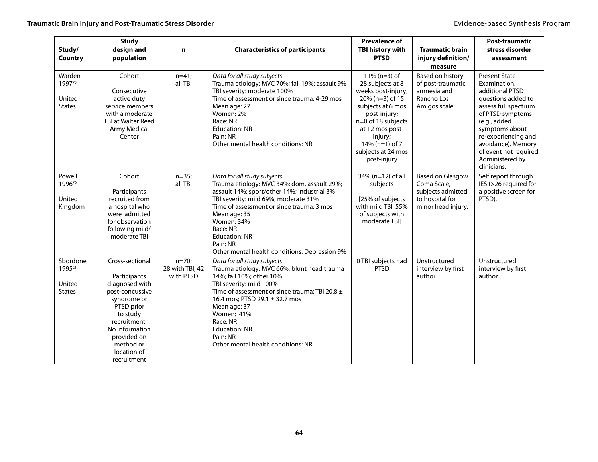| Study/<br>Country                                         | <b>Study</b><br>design and<br>population                                                                                                                                                                  | n                                       | <b>Characteristics of participants</b>                                                                                                                                                                                                                                                                                                        | <b>Prevalence of</b><br>TBI history with<br><b>PTSD</b>                                                                                                                                                                            | <b>Traumatic brain</b><br>injury definition/<br>measure                                              | <b>Post-traumatic</b><br>stress disorder<br>assessment                                                                                                                                                                                                               |
|-----------------------------------------------------------|-----------------------------------------------------------------------------------------------------------------------------------------------------------------------------------------------------------|-----------------------------------------|-----------------------------------------------------------------------------------------------------------------------------------------------------------------------------------------------------------------------------------------------------------------------------------------------------------------------------------------------|------------------------------------------------------------------------------------------------------------------------------------------------------------------------------------------------------------------------------------|------------------------------------------------------------------------------------------------------|----------------------------------------------------------------------------------------------------------------------------------------------------------------------------------------------------------------------------------------------------------------------|
| Warden<br>199775<br>United<br><b>States</b>               | Cohort<br>Consecutive<br>active duty<br>service members<br>with a moderate<br><b>TBI at Walter Reed</b><br><b>Army Medical</b><br>Center                                                                  | $n=41;$<br>all TBI                      | Data for all study subjects<br>Trauma etiology: MVC 70%; fall 19%; assault 9%<br>TBI severity: moderate 100%<br>Time of assessment or since trauma: 4-29 mos<br>Mean age: 27<br>Women: 2%<br>Race: NR<br><b>Education: NR</b><br>Pain: NR<br>Other mental health conditions: NR                                                               | $11\%$ (n=3) of<br>28 subjects at 8<br>weeks post-injury;<br>$20\%$ (n=3) of 15<br>subjects at 6 mos<br>post-injury;<br>n=0 of 18 subjects<br>at 12 mos post-<br>injury;<br>$14\%$ (n=1) of 7<br>subjects at 24 mos<br>post-injury | Based on history<br>of post-traumatic<br>amnesia and<br>Rancho Los<br>Amigos scale.                  | <b>Present State</b><br>Examination,<br>additional PTSD<br>questions added to<br>assess full spectrum<br>of PTSD symptoms<br>(e.g., added<br>symptoms about<br>re-experiencing and<br>avoidance). Memory<br>of event not required.<br>Administered by<br>clinicians. |
| Powell<br>199676<br>United<br>Kingdom                     | Cohort<br>Participants<br>recruited from<br>a hospital who<br>were admitted<br>for observation<br>following mild/<br>moderate TBI                                                                         | $n=35;$<br>all TBI                      | Data for all study subjects<br>Trauma etiology: MVC 34%; dom. assault 29%;<br>assault 14%; sport/other 14%; industrial 3%<br>TBI severity: mild 69%; moderate 31%<br>Time of assessment or since trauma: 3 mos<br>Mean age: 35<br>Women: 34%<br>Race: NR<br><b>Education: NR</b><br>Pain: NR<br>Other mental health conditions: Depression 9% | 34% (n=12) of all<br>subjects<br>[25% of subjects]<br>with mild TBI; 55%<br>of subjects with<br>moderate TBI]                                                                                                                      | <b>Based on Glasgow</b><br>Coma Scale,<br>subjects admitted<br>to hospital for<br>minor head injury. | Self report through<br>IES (>26 required for<br>a positive screen for<br>PTSD).                                                                                                                                                                                      |
| Sbordone<br>1995 <sup>21</sup><br>United<br><b>States</b> | Cross-sectional<br>Participants<br>diagnosed with<br>post-concussive<br>syndrome or<br>PTSD prior<br>to study<br>recruitment:<br>No information<br>provided on<br>method or<br>location of<br>recruitment | $n=70;$<br>28 with TBI, 42<br>with PTSD | Data for all study subjects<br>Trauma etiology: MVC 66%; blunt head trauma<br>14%; fall 10%; other 10%<br>TBI severity: mild 100%<br>Time of assessment or since trauma: TBI 20.8 ±<br>16.4 mos; PTSD 29.1 ± 32.7 mos<br>Mean age: 37<br>Women: 41%<br>Race: NR<br><b>Education: NR</b><br>Pain: NR<br>Other mental health conditions: NR     | 0 TBI subjects had<br><b>PTSD</b>                                                                                                                                                                                                  | Unstructured<br>interview by first<br>author.                                                        | Unstructured<br>interview by first<br>author.                                                                                                                                                                                                                        |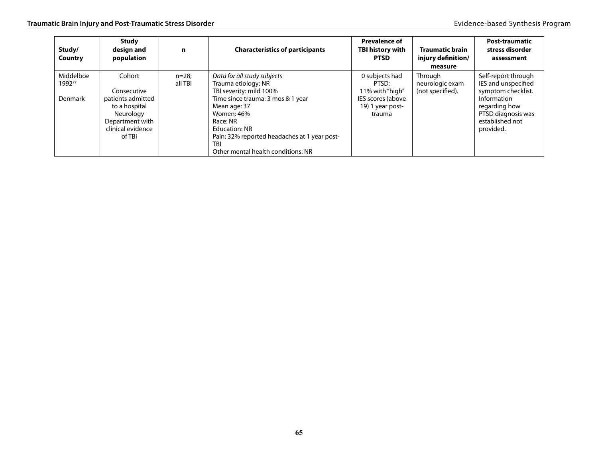| Study/<br>Country                     | <b>Study</b><br>design and<br>population                                                                                   | n                   | <b>Characteristics of participants</b>                                                                                                                                                                                                                                                   | <b>Prevalence of</b><br><b>TBI history with</b><br><b>PTSD</b>                                | <b>Traumatic brain</b><br>injury definition/<br>measure | Post-traumatic<br>stress disorder<br>assessment                                                                                                        |
|---------------------------------------|----------------------------------------------------------------------------------------------------------------------------|---------------------|------------------------------------------------------------------------------------------------------------------------------------------------------------------------------------------------------------------------------------------------------------------------------------------|-----------------------------------------------------------------------------------------------|---------------------------------------------------------|--------------------------------------------------------------------------------------------------------------------------------------------------------|
| Middelboe<br>199277<br><b>Denmark</b> | Cohort<br>Consecutive<br>patients admitted<br>to a hospital<br>Neurology<br>Department with<br>clinical evidence<br>of TBI | $n=28$ :<br>all TBI | Data for all study subjects<br>Trauma etiology: NR<br>TBI severity: mild 100%<br>Time since trauma: 3 mos & 1 year<br>Mean age: 37<br>Women: 46%<br>Race: NR<br><b>Education: NR</b><br>Pain: 32% reported headaches at 1 year post-<br><b>TBI</b><br>Other mental health conditions: NR | 0 subjects had<br>PTSD:<br>11% with "high"<br>IES scores (above<br>19) 1 year post-<br>trauma | Through<br>neurologic exam<br>(not specified).          | Self-report through<br>IES and unspecified<br>symptom checklist.<br>Information<br>regarding how<br>PTSD diagnosis was<br>established not<br>provided. |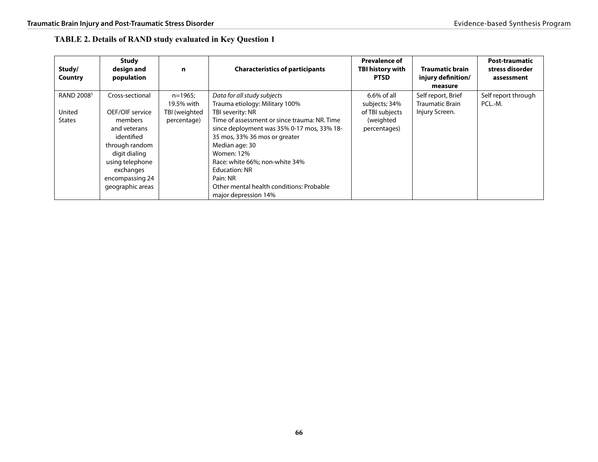| <b>TABLE 2. Details of RAND study evaluated in Key Question 1</b> |  |  |
|-------------------------------------------------------------------|--|--|
|-------------------------------------------------------------------|--|--|

| Study/<br>Country                | <b>Study</b><br>design and<br>population                                                                                                        | n                                        | <b>Characteristics of participants</b>                                                                                                                                                                                                                                                                       | <b>Prevalence of</b><br><b>TBI history with</b><br><b>PTSD</b> | <b>Traumatic brain</b><br>injury definition/<br>measure        | <b>Post-traumatic</b><br>stress disorder<br>assessment |
|----------------------------------|-------------------------------------------------------------------------------------------------------------------------------------------------|------------------------------------------|--------------------------------------------------------------------------------------------------------------------------------------------------------------------------------------------------------------------------------------------------------------------------------------------------------------|----------------------------------------------------------------|----------------------------------------------------------------|--------------------------------------------------------|
| RAND 2008 <sup>5</sup><br>United | Cross-sectional<br>OEF/OIF service                                                                                                              | $n=1965;$<br>19.5% with<br>TBI (weighted | Data for all study subjects<br>Trauma etiology: Military 100%<br>TBI severity: NR                                                                                                                                                                                                                            | $6.6\%$ of all<br>subjects; 34%<br>of TBI subjects             | Self report, Brief<br><b>Traumatic Brain</b><br>Injury Screen. | Self report through<br>PCL.-M.                         |
| <b>States</b>                    | members<br>and veterans<br>identified<br>through random<br>digit dialing<br>using telephone<br>exchanges<br>encompassing 24<br>geographic areas | percentage)                              | Time of assessment or since trauma: NR. Time<br>since deployment was 35% 0-17 mos, 33% 18-<br>35 mos, 33% 36 mos or greater<br>Median age: 30<br><b>Women: 12%</b><br>Race: white 66%; non-white 34%<br><b>Education: NR</b><br>Pain: NR<br>Other mental health conditions: Probable<br>major depression 14% | (weighted<br>percentages)                                      |                                                                |                                                        |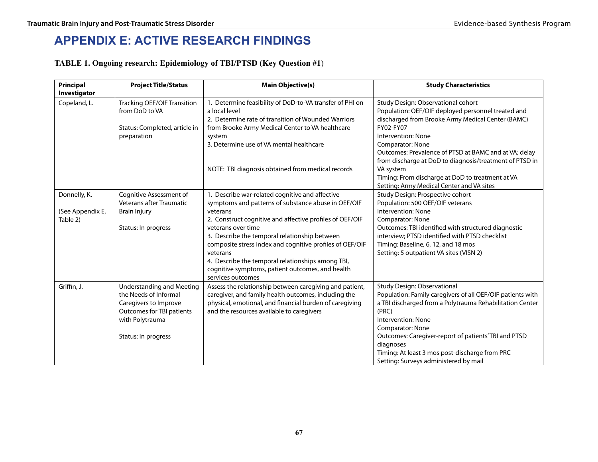# **Appendix E: ACTIVE RESEARCH FINDINGS**

### **TABLE 1. Ongoing research: Epidemiology of TBI/PTSD (Key Question #1**)

| Principal<br>Investigator | <b>Project Title/Status</b>                          | <b>Main Objective(s)</b>                                                                                                         | <b>Study Characteristics</b>                                                                                                                  |
|---------------------------|------------------------------------------------------|----------------------------------------------------------------------------------------------------------------------------------|-----------------------------------------------------------------------------------------------------------------------------------------------|
| Copeland, L.              | <b>Tracking OEF/OIF Transition</b><br>from DoD to VA | 1. Determine feasibility of DoD-to-VA transfer of PHI on<br>a local level<br>2. Determine rate of transition of Wounded Warriors | Study Design: Observational cohort<br>Population: OEF/OIF deployed personnel treated and<br>discharged from Brooke Army Medical Center (BAMC) |
|                           | Status: Completed, article in<br>preparation         | from Brooke Army Medical Center to VA healthcare<br>system                                                                       | FY02-FY07<br>Intervention: None                                                                                                               |
|                           |                                                      | 3. Determine use of VA mental healthcare                                                                                         | Comparator: None<br>Outcomes: Prevalence of PTSD at BAMC and at VA; delay<br>from discharge at DoD to diagnosis/treatment of PTSD in          |
|                           |                                                      | NOTE: TBI diagnosis obtained from medical records                                                                                | VA system<br>Timing: From discharge at DoD to treatment at VA                                                                                 |
|                           |                                                      |                                                                                                                                  | Setting: Army Medical Center and VA sites                                                                                                     |
| Donnelly, K.              | Cognitive Assessment of                              | 1. Describe war-related cognitive and affective                                                                                  | Study Design: Prospective cohort                                                                                                              |
| (See Appendix E,          | <b>Veterans after Traumatic</b>                      | symptoms and patterns of substance abuse in OEF/OIF<br>veterans                                                                  | Population: 500 OEF/OIF veterans<br>Intervention: None                                                                                        |
| Table 2)                  | <b>Brain Injury</b>                                  | 2. Construct cognitive and affective profiles of OEF/OIF                                                                         | Comparator: None                                                                                                                              |
|                           | Status: In progress                                  | veterans over time                                                                                                               | Outcomes: TBI identified with structured diagnostic                                                                                           |
|                           |                                                      | 3. Describe the temporal relationship between                                                                                    | interview; PTSD identified with PTSD checklist                                                                                                |
|                           |                                                      | composite stress index and cognitive profiles of OEF/OIF                                                                         | Timing: Baseline, 6, 12, and 18 mos                                                                                                           |
|                           |                                                      | veterans                                                                                                                         | Setting: 5 outpatient VA sites (VISN 2)                                                                                                       |
|                           |                                                      | 4. Describe the temporal relationships among TBI,                                                                                |                                                                                                                                               |
|                           |                                                      | cognitive symptoms, patient outcomes, and health<br>services outcomes                                                            |                                                                                                                                               |
| Griffin, J.               | <b>Understanding and Meeting</b>                     | Assess the relationship between caregiving and patient,                                                                          | Study Design: Observational                                                                                                                   |
|                           | the Needs of Informal                                | caregiver, and family health outcomes, including the                                                                             | Population: Family caregivers of all OEF/OIF patients with                                                                                    |
|                           | Caregivers to Improve                                | physical, emotional, and financial burden of caregiving                                                                          | a TBI discharged from a Polytrauma Rehabilitation Center                                                                                      |
|                           | Outcomes for TBI patients                            | and the resources available to caregivers                                                                                        | (PRC)                                                                                                                                         |
|                           | with Polytrauma                                      |                                                                                                                                  | Intervention: None                                                                                                                            |
|                           |                                                      |                                                                                                                                  | Comparator: None                                                                                                                              |
|                           | Status: In progress                                  |                                                                                                                                  | Outcomes: Caregiver-report of patients' TBI and PTSD<br>diagnoses                                                                             |
|                           |                                                      |                                                                                                                                  | Timing: At least 3 mos post-discharge from PRC                                                                                                |
|                           |                                                      |                                                                                                                                  | Setting: Surveys administered by mail                                                                                                         |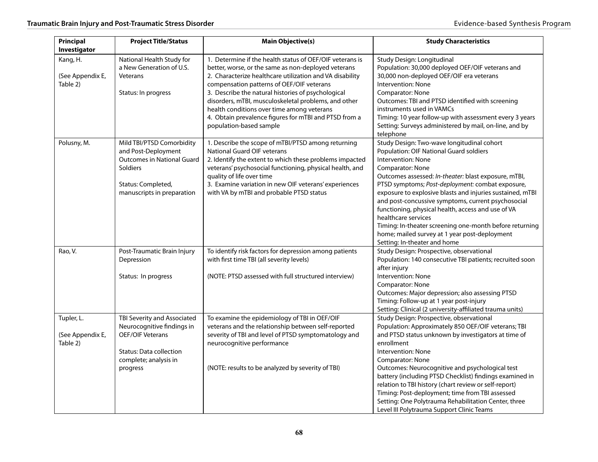| Principal<br>Investigator                  | <b>Project Title/Status</b>                                                                                                                                  | <b>Main Objective(s)</b>                                                                                                                                                                                                                                                                                                                                                                                                                                                 | <b>Study Characteristics</b>                                                                                                                                                                                                                                                                                                                                                                                                                                                                                                                                                            |
|--------------------------------------------|--------------------------------------------------------------------------------------------------------------------------------------------------------------|--------------------------------------------------------------------------------------------------------------------------------------------------------------------------------------------------------------------------------------------------------------------------------------------------------------------------------------------------------------------------------------------------------------------------------------------------------------------------|-----------------------------------------------------------------------------------------------------------------------------------------------------------------------------------------------------------------------------------------------------------------------------------------------------------------------------------------------------------------------------------------------------------------------------------------------------------------------------------------------------------------------------------------------------------------------------------------|
| Kang, H.<br>(See Appendix E,<br>Table 2)   | National Health Study for<br>a New Generation of U.S.<br>Veterans<br>Status: In progress                                                                     | 1. Determine if the health status of OEF/OIF veterans is<br>better, worse, or the same as non-deployed veterans<br>2. Characterize healthcare utilization and VA disability<br>compensation patterns of OEF/OIF veterans<br>3. Describe the natural histories of psychological<br>disorders, mTBI, musculoskeletal problems, and other<br>health conditions over time among veterans<br>4. Obtain prevalence figures for mTBI and PTSD from a<br>population-based sample | Study Design: Longitudinal<br>Population: 30,000 deployed OEF/OIF veterans and<br>30,000 non-deployed OEF/OIF era veterans<br>Intervention: None<br><b>Comparator: None</b><br>Outcomes: TBI and PTSD identified with screening<br>instruments used in VAMCs<br>Timing: 10 year follow-up with assessment every 3 years<br>Setting: Surveys administered by mail, on-line, and by<br>telephone                                                                                                                                                                                          |
| Polusny, M.                                | Mild TBI/PTSD Comorbidity<br>and Post-Deployment<br><b>Outcomes in National Guard</b><br><b>Soldiers</b><br>Status: Completed,<br>manuscripts in preparation | 1. Describe the scope of mTBI/PTSD among returning<br>National Guard OIF veterans<br>2. Identify the extent to which these problems impacted<br>veterans' psychosocial functioning, physical health, and<br>quality of life over time<br>3. Examine variation in new OIF veterans' experiences<br>with VA by mTBI and probable PTSD status                                                                                                                               | Study Design: Two-wave longitudinal cohort<br>Population: OIF National Guard soldiers<br>Intervention: None<br>Comparator: None<br>Outcomes assessed: In-theater: blast exposure, mTBI,<br>PTSD symptoms; Post-deployment: combat exposure,<br>exposure to explosive blasts and injuries sustained, mTBI<br>and post-concussive symptoms, current psychosocial<br>functioning, physical health, access and use of VA<br>healthcare services<br>Timing: In-theater screening one-month before returning<br>home; mailed survey at 1 year post-deployment<br>Setting: In-theater and home |
| Rao, V.                                    | Post-Traumatic Brain Injury<br>Depression<br>Status: In progress                                                                                             | To identify risk factors for depression among patients<br>with first time TBI (all severity levels)<br>(NOTE: PTSD assessed with full structured interview)                                                                                                                                                                                                                                                                                                              | Study Design: Prospective, observational<br>Population: 140 consecutive TBI patients; recruited soon<br>after injury<br>Intervention: None<br>Comparator: None<br>Outcomes: Major depression; also assessing PTSD<br>Timing: Follow-up at 1 year post-injury<br>Setting: Clinical (2 university-affiliated trauma units)                                                                                                                                                                                                                                                                |
| Tupler, L.<br>(See Appendix E,<br>Table 2) | TBI Severity and Associated<br>Neurocognitive findings in<br><b>OEF/OIF Veterans</b><br><b>Status: Data collection</b><br>complete; analysis in<br>progress  | To examine the epidemiology of TBI in OEF/OIF<br>veterans and the relationship between self-reported<br>severity of TBI and level of PTSD symptomatology and<br>neurocognitive performance<br>(NOTE: results to be analyzed by severity of TBI)                                                                                                                                                                                                                          | Study Design: Prospective, observational<br>Population: Approximately 850 OEF/OIF veterans; TBI<br>and PTSD status unknown by investigators at time of<br>enrollment<br>Intervention: None<br>Comparator: None<br>Outcomes: Neurocognitive and psychological test<br>battery (including PTSD Checklist) findings examined in<br>relation to TBI history (chart review or self-report)<br>Timing: Post-deployment; time from TBI assessed<br>Setting: One Polytrauma Rehabilitation Center, three<br>Level III Polytrauma Support Clinic Teams                                           |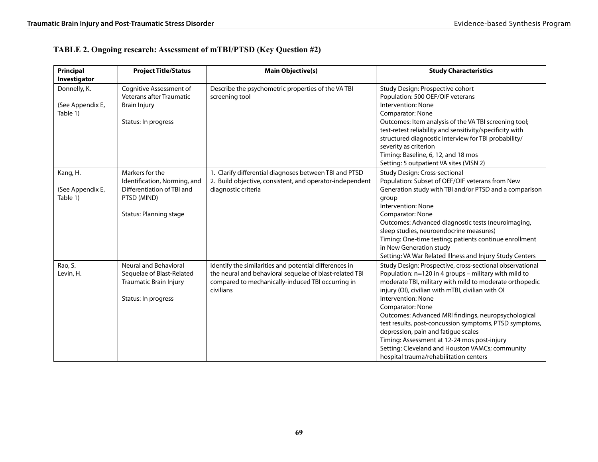## **TABLE 2. Ongoing research: Assessment of mTBI/PTSD (Key Question #2)**

| Principal<br>Investigator                    | <b>Project Title/Status</b>                                                                                                   | <b>Main Objective(s)</b>                                                                                                                                                            | <b>Study Characteristics</b>                                                                                                                                                                                                                                                                                                                                                                                                                                                                                                                                                    |
|----------------------------------------------|-------------------------------------------------------------------------------------------------------------------------------|-------------------------------------------------------------------------------------------------------------------------------------------------------------------------------------|---------------------------------------------------------------------------------------------------------------------------------------------------------------------------------------------------------------------------------------------------------------------------------------------------------------------------------------------------------------------------------------------------------------------------------------------------------------------------------------------------------------------------------------------------------------------------------|
| Donnelly, K.<br>(See Appendix E,<br>Table 1) | Cognitive Assessment of<br><b>Veterans after Traumatic</b><br><b>Brain Injury</b><br>Status: In progress                      | Describe the psychometric properties of the VA TBI<br>screening tool                                                                                                                | Study Design: Prospective cohort<br>Population: 500 OEF/OIF veterans<br>Intervention: None<br>Comparator: None<br>Outcomes: Item analysis of the VA TBI screening tool;<br>test-retest reliability and sensitivity/specificity with<br>structured diagnostic interview for TBI probability/<br>severity as criterion<br>Timing: Baseline, 6, 12, and 18 mos<br>Setting: 5 outpatient VA sites (VISN 2)                                                                                                                                                                          |
| Kang, H.<br>(See Appendix E,<br>Table 1)     | Markers for the<br>Identification, Norming, and<br>Differentiation of TBI and<br>PTSD (MIND)<br><b>Status: Planning stage</b> | 1. Clarify differential diagnoses between TBI and PTSD<br>2. Build objective, consistent, and operator-independent<br>diagnostic criteria                                           | Study Design: Cross-sectional<br>Population: Subset of OEF/OIF veterans from New<br>Generation study with TBI and/or PTSD and a comparison<br>group<br>Intervention: None<br>Comparator: None<br>Outcomes: Advanced diagnostic tests (neuroimaging,<br>sleep studies, neuroendocrine measures)<br>Timing: One-time testing; patients continue enrollment<br>in New Generation study<br>Setting: VA War Related Illness and Injury Study Centers                                                                                                                                 |
| Rao, S.<br>Levin, H.                         | Neural and Behavioral<br>Sequelae of Blast-Related<br>Traumatic Brain Injury<br>Status: In progress                           | Identify the similarities and potential differences in<br>the neural and behavioral sequelae of blast-related TBI<br>compared to mechanically-induced TBI occurring in<br>civilians | Study Design: Prospective, cross-sectional observational<br>Population: n=120 in 4 groups - military with mild to<br>moderate TBI, military with mild to moderate orthopedic<br>injury (OI), civilian with mTBI, civilian with OI<br>Intervention: None<br>Comparator: None<br>Outcomes: Advanced MRI findings, neuropsychological<br>test results, post-concussion symptoms, PTSD symptoms,<br>depression, pain and fatigue scales<br>Timing: Assessment at 12-24 mos post-injury<br>Setting: Cleveland and Houston VAMCs; community<br>hospital trauma/rehabilitation centers |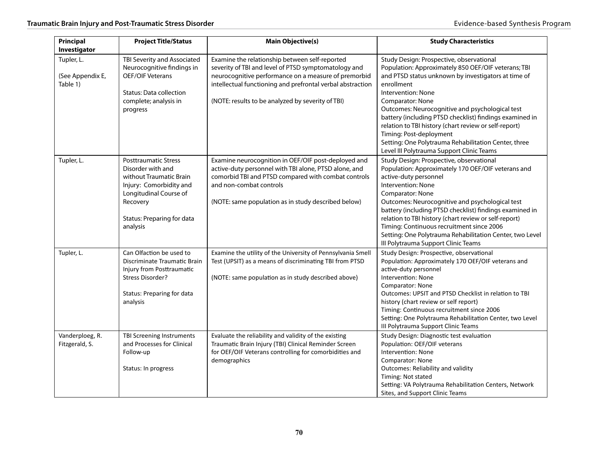| Principal<br>Investigator                  | <b>Project Title/Status</b>                                                                                                                                                            | <b>Main Objective(s)</b>                                                                                                                                                                                                                                                          | <b>Study Characteristics</b>                                                                                                                                                                                                                                                                                                                                                                                                                                                                                          |
|--------------------------------------------|----------------------------------------------------------------------------------------------------------------------------------------------------------------------------------------|-----------------------------------------------------------------------------------------------------------------------------------------------------------------------------------------------------------------------------------------------------------------------------------|-----------------------------------------------------------------------------------------------------------------------------------------------------------------------------------------------------------------------------------------------------------------------------------------------------------------------------------------------------------------------------------------------------------------------------------------------------------------------------------------------------------------------|
| Tupler, L.<br>(See Appendix E,<br>Table 1) | TBI Severity and Associated<br>Neurocognitive findings in<br><b>OEF/OIF Veterans</b><br><b>Status: Data collection</b><br>complete; analysis in<br>progress                            | Examine the relationship between self-reported<br>severity of TBI and level of PTSD symptomatology and<br>neurocognitive performance on a measure of premorbid<br>intellectual functioning and prefrontal verbal abstraction<br>(NOTE: results to be analyzed by severity of TBI) | Study Design: Prospective, observational<br>Population: Approximately 850 OEF/OIF veterans; TBI<br>and PTSD status unknown by investigators at time of<br>enrollment<br>Intervention: None<br>Comparator: None<br>Outcomes: Neurocognitive and psychological test<br>battery (including PTSD checklist) findings examined in<br>relation to TBI history (chart review or self-report)<br>Timing: Post-deployment<br>Setting: One Polytrauma Rehabilitation Center, three<br>Level III Polytrauma Support Clinic Teams |
| Tupler, L.                                 | <b>Posttraumatic Stress</b><br>Disorder with and<br>without Traumatic Brain<br>Injury: Comorbidity and<br>Longitudinal Course of<br>Recovery<br>Status: Preparing for data<br>analysis | Examine neurocognition in OEF/OIF post-deployed and<br>active-duty personnel with TBI alone, PTSD alone, and<br>comorbid TBI and PTSD compared with combat controls<br>and non-combat controls<br>(NOTE: same population as in study described below)                             | Study Design: Prospective, observational<br>Population: Approximately 170 OEF/OIF veterans and<br>active-duty personnel<br>Intervention: None<br>Comparator: None<br>Outcomes: Neurocognitive and psychological test<br>battery (including PTSD checklist) findings examined in<br>relation to TBI history (chart review or self-report)<br>Timing: Continuous recruitment since 2006<br>Setting: One Polytrauma Rehabilitation Center, two Level<br>III Polytrauma Support Clinic Teams                              |
| Tupler, L.                                 | Can Olfaction be used to<br>Discriminate Traumatic Brain<br>Injury from Posttraumatic<br>Stress Disorder?<br>Status: Preparing for data<br>analysis                                    | Examine the utility of the University of Pennsylvania Smell<br>Test (UPSIT) as a means of discriminating TBI from PTSD<br>(NOTE: same population as in study described above)                                                                                                     | Study Design: Prospective, observational<br>Population: Approximately 170 OEF/OIF veterans and<br>active-duty personnel<br>Intervention: None<br>Comparator: None<br>Outcomes: UPSIT and PTSD Checklist in relation to TBI<br>history (chart review or self report)<br>Timing: Continuous recruitment since 2006<br>Setting: One Polytrauma Rehabilitation Center, two Level<br>III Polytrauma Support Clinic Teams                                                                                                   |
| Vanderploeg, R.<br>Fitzgerald, S.          | TBI Screening Instruments<br>and Processes for Clinical<br>Follow-up<br>Status: In progress                                                                                            | Evaluate the reliability and validity of the existing<br>Traumatic Brain Injury (TBI) Clinical Reminder Screen<br>for OEF/OIF Veterans controlling for comorbidities and<br>demographics                                                                                          | Study Design: Diagnostic test evaluation<br>Population: OEF/OIF veterans<br>Intervention: None<br>Comparator: None<br>Outcomes: Reliability and validity<br>Timing: Not stated<br>Setting: VA Polytrauma Rehabilitation Centers, Network<br>Sites, and Support Clinic Teams                                                                                                                                                                                                                                           |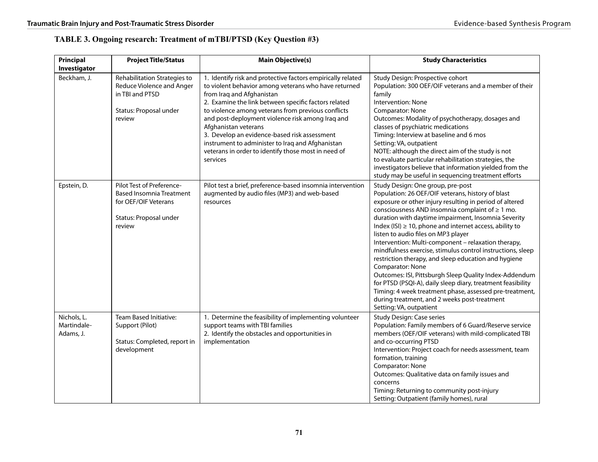### **TABLE 3. Ongoing research: Treatment of mTBI/PTSD (Key Question #3)**

| Principal<br>Investigator               | <b>Project Title/Status</b>                                                                                              | <b>Main Objective(s)</b>                                                                                                                                                                                                                                                                                                                                                                                                                                                                                          | <b>Study Characteristics</b>                                                                                                                                                                                                                                                                                                                                                                                                                                                                                                                                                                                                                                                                                                                                                                                                            |
|-----------------------------------------|--------------------------------------------------------------------------------------------------------------------------|-------------------------------------------------------------------------------------------------------------------------------------------------------------------------------------------------------------------------------------------------------------------------------------------------------------------------------------------------------------------------------------------------------------------------------------------------------------------------------------------------------------------|-----------------------------------------------------------------------------------------------------------------------------------------------------------------------------------------------------------------------------------------------------------------------------------------------------------------------------------------------------------------------------------------------------------------------------------------------------------------------------------------------------------------------------------------------------------------------------------------------------------------------------------------------------------------------------------------------------------------------------------------------------------------------------------------------------------------------------------------|
| Beckham, J.                             | Rehabilitation Strategies to<br><b>Reduce Violence and Anger</b><br>in TBI and PTSD<br>Status: Proposal under<br>review  | 1. Identify risk and protective factors empirically related<br>to violent behavior among veterans who have returned<br>from Iraq and Afghanistan<br>2. Examine the link between specific factors related<br>to violence among veterans from previous conflicts<br>and post-deployment violence risk among Iraq and<br>Afghanistan veterans<br>3. Develop an evidence-based risk assessment<br>instrument to administer to Iraq and Afghanistan<br>veterans in order to identify those most in need of<br>services | Study Design: Prospective cohort<br>Population: 300 OEF/OIF veterans and a member of their<br>family<br>Intervention: None<br>Comparator: None<br>Outcomes: Modality of psychotherapy, dosages and<br>classes of psychiatric medications<br>Timing: Interview at baseline and 6 mos<br>Setting: VA, outpatient<br>NOTE: although the direct aim of the study is not<br>to evaluate particular rehabilitation strategies, the<br>investigators believe that information yielded from the<br>study may be useful in sequencing treatment efforts                                                                                                                                                                                                                                                                                          |
| Epstein, D.                             | Pilot Test of Preference-<br><b>Based Insomnia Treatment</b><br>for OEF/OIF Veterans<br>Status: Proposal under<br>review | Pilot test a brief, preference-based insomnia intervention<br>augmented by audio files (MP3) and web-based<br>resources                                                                                                                                                                                                                                                                                                                                                                                           | Study Design: One group, pre-post<br>Population: 26 OEF/OIF veterans, history of blast<br>exposure or other injury resulting in period of altered<br>consciousness AND insomnia complaint of $\geq 1$ mo.<br>duration with daytime impairment, Insomnia Severity<br>Index (ISI) $\geq$ 10, phone and internet access, ability to<br>listen to audio files on MP3 player<br>Intervention: Multi-component - relaxation therapy,<br>mindfulness exercise, stimulus control instructions, sleep<br>restriction therapy, and sleep education and hygiene<br>Comparator: None<br>Outcomes: ISI, Pittsburgh Sleep Quality Index-Addendum<br>for PTSD (PSQI-A), daily sleep diary, treatment feasibility<br>Timing: 4 week treatment phase, assessed pre-treatment,<br>during treatment, and 2 weeks post-treatment<br>Setting: VA, outpatient |
| Nichols, L.<br>Martindale-<br>Adams, J. | <b>Team Based Initiative:</b><br>Support (Pilot)<br>Status: Completed, report in<br>development                          | 1. Determine the feasibility of implementing volunteer<br>support teams with TBI families<br>2. Identify the obstacles and opportunities in<br>implementation                                                                                                                                                                                                                                                                                                                                                     | <b>Study Design: Case series</b><br>Population: Family members of 6 Guard/Reserve service<br>members (OEF/OIF veterans) with mild-complicated TBI<br>and co-occurring PTSD<br>Intervention: Project coach for needs assessment, team<br>formation, training<br>Comparator: None<br>Outcomes: Qualitative data on family issues and<br>concerns<br>Timing: Returning to community post-injury<br>Setting: Outpatient (family homes), rural                                                                                                                                                                                                                                                                                                                                                                                               |